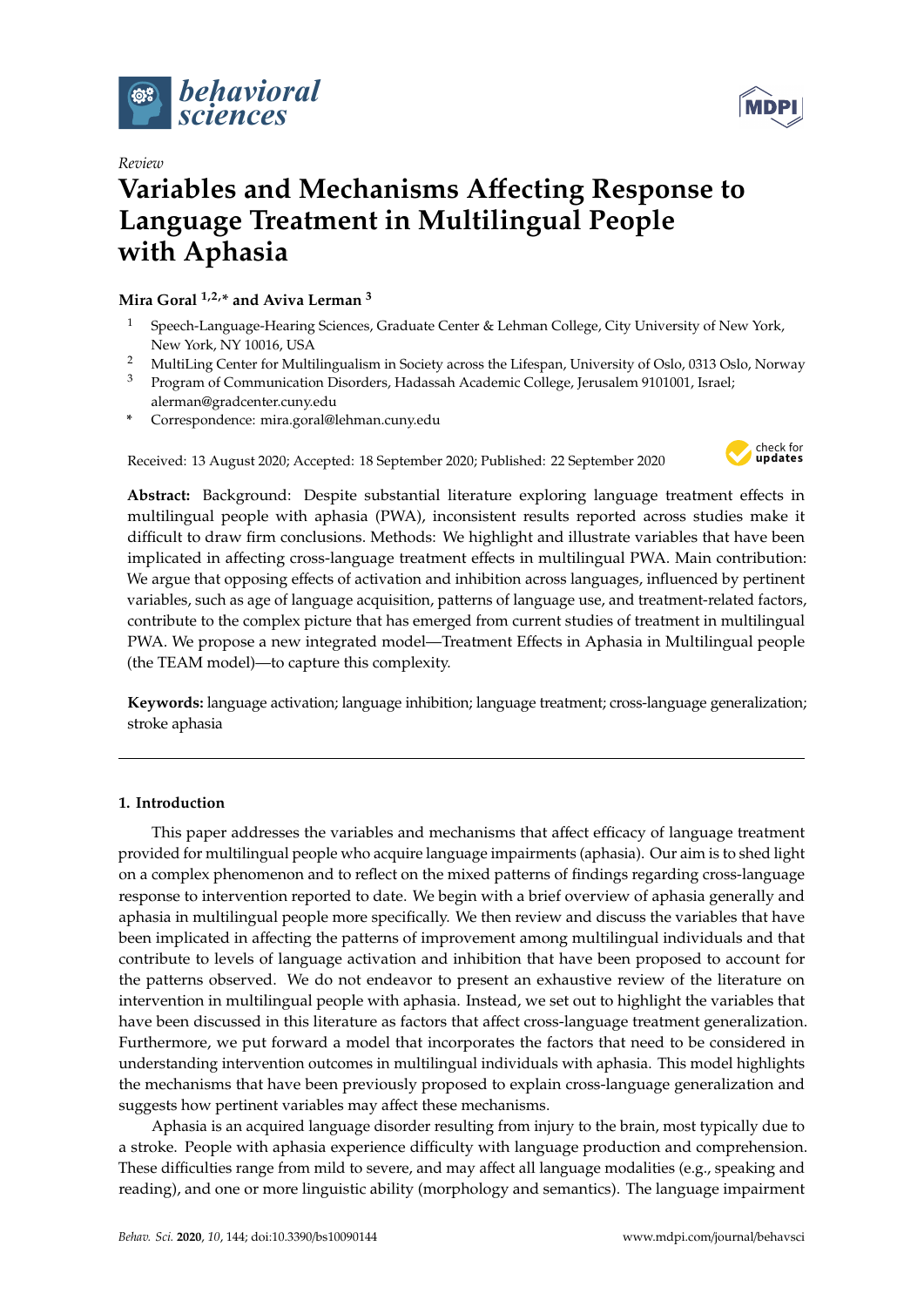

**MDP** 

# *Review* **Variables and Mechanisms A**ff**ecting Response to Language Treatment in Multilingual People with Aphasia**

## **Mira Goral 1,2,\* and Aviva Lerman <sup>3</sup>**

- <sup>1</sup> Speech-Language-Hearing Sciences, Graduate Center & Lehman College, City University of New York, New York, NY 10016, USA
- <sup>2</sup> MultiLing Center for Multilingualism in Society across the Lifespan, University of Oslo, 0313 Oslo, Norway
- <sup>3</sup> Program of Communication Disorders, Hadassah Academic College, Jerusalem 9101001, Israel; alerman@gradcenter.cuny.edu
- **\*** Correspondence: mira.goral@lehman.cuny.edu

Received: 13 August 2020; Accepted: 18 September 2020; Published: 22 September 2020



**Abstract:** Background: Despite substantial literature exploring language treatment effects in multilingual people with aphasia (PWA), inconsistent results reported across studies make it difficult to draw firm conclusions. Methods: We highlight and illustrate variables that have been implicated in affecting cross-language treatment effects in multilingual PWA. Main contribution: We argue that opposing effects of activation and inhibition across languages, influenced by pertinent variables, such as age of language acquisition, patterns of language use, and treatment-related factors, contribute to the complex picture that has emerged from current studies of treatment in multilingual PWA. We propose a new integrated model—Treatment Effects in Aphasia in Multilingual people (the TEAM model)—to capture this complexity.

**Keywords:** language activation; language inhibition; language treatment; cross-language generalization; stroke aphasia

# **1. Introduction**

This paper addresses the variables and mechanisms that affect efficacy of language treatment provided for multilingual people who acquire language impairments (aphasia). Our aim is to shed light on a complex phenomenon and to reflect on the mixed patterns of findings regarding cross-language response to intervention reported to date. We begin with a brief overview of aphasia generally and aphasia in multilingual people more specifically. We then review and discuss the variables that have been implicated in affecting the patterns of improvement among multilingual individuals and that contribute to levels of language activation and inhibition that have been proposed to account for the patterns observed. We do not endeavor to present an exhaustive review of the literature on intervention in multilingual people with aphasia. Instead, we set out to highlight the variables that have been discussed in this literature as factors that affect cross-language treatment generalization. Furthermore, we put forward a model that incorporates the factors that need to be considered in understanding intervention outcomes in multilingual individuals with aphasia. This model highlights the mechanisms that have been previously proposed to explain cross-language generalization and suggests how pertinent variables may affect these mechanisms.

Aphasia is an acquired language disorder resulting from injury to the brain, most typically due to a stroke. People with aphasia experience difficulty with language production and comprehension. These difficulties range from mild to severe, and may affect all language modalities (e.g., speaking and reading), and one or more linguistic ability (morphology and semantics). The language impairment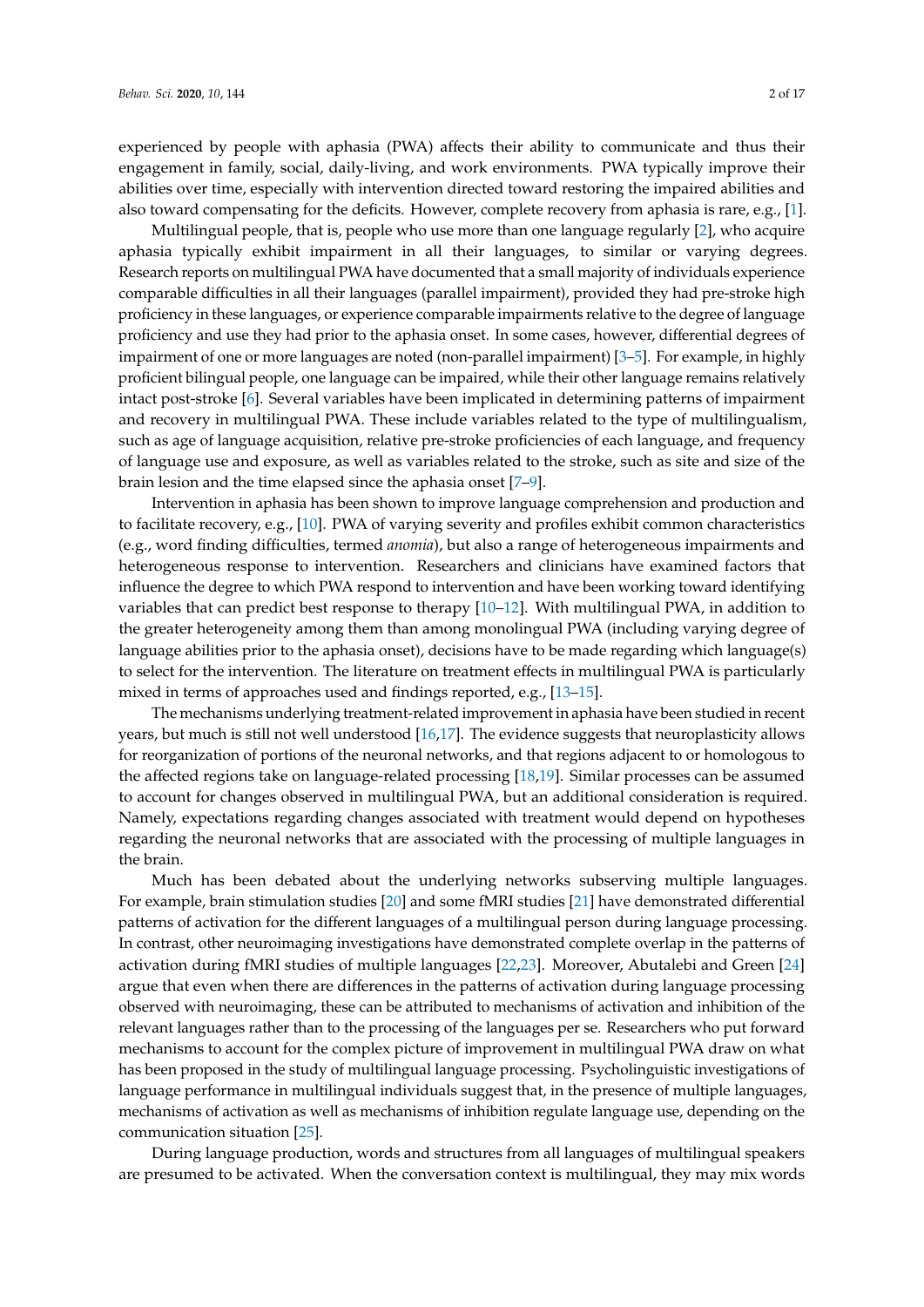experienced by people with aphasia (PWA) affects their ability to communicate and thus their engagement in family, social, daily-living, and work environments. PWA typically improve their abilities over time, especially with intervention directed toward restoring the impaired abilities and also toward compensating for the deficits. However, complete recovery from aphasia is rare, e.g., [\[1\]](#page-12-0).

Multilingual people, that is, people who use more than one language regularly [\[2\]](#page-12-1), who acquire aphasia typically exhibit impairment in all their languages, to similar or varying degrees. Research reports on multilingual PWA have documented that a small majority of individuals experience comparable difficulties in all their languages (parallel impairment), provided they had pre-stroke high proficiency in these languages, or experience comparable impairments relative to the degree of language proficiency and use they had prior to the aphasia onset. In some cases, however, differential degrees of impairment of one or more languages are noted (non-parallel impairment) [\[3–](#page-13-0)[5\]](#page-13-1). For example, in highly proficient bilingual people, one language can be impaired, while their other language remains relatively intact post-stroke [\[6\]](#page-13-2). Several variables have been implicated in determining patterns of impairment and recovery in multilingual PWA. These include variables related to the type of multilingualism, such as age of language acquisition, relative pre-stroke proficiencies of each language, and frequency of language use and exposure, as well as variables related to the stroke, such as site and size of the brain lesion and the time elapsed since the aphasia onset [\[7](#page-13-3)[–9\]](#page-13-4).

Intervention in aphasia has been shown to improve language comprehension and production and to facilitate recovery, e.g., [\[10\]](#page-13-5). PWA of varying severity and profiles exhibit common characteristics (e.g., word finding difficulties, termed *anomia*), but also a range of heterogeneous impairments and heterogeneous response to intervention. Researchers and clinicians have examined factors that influence the degree to which PWA respond to intervention and have been working toward identifying variables that can predict best response to therapy [\[10–](#page-13-5)[12\]](#page-13-6). With multilingual PWA, in addition to the greater heterogeneity among them than among monolingual PWA (including varying degree of language abilities prior to the aphasia onset), decisions have to be made regarding which language(s) to select for the intervention. The literature on treatment effects in multilingual PWA is particularly mixed in terms of approaches used and findings reported, e.g., [\[13–](#page-13-7)[15\]](#page-13-8).

The mechanisms underlying treatment-related improvement in aphasia have been studied in recent years, but much is still not well understood [\[16,](#page-13-9)[17\]](#page-13-10). The evidence suggests that neuroplasticity allows for reorganization of portions of the neuronal networks, and that regions adjacent to or homologous to the affected regions take on language-related processing [\[18](#page-13-11)[,19\]](#page-13-12). Similar processes can be assumed to account for changes observed in multilingual PWA, but an additional consideration is required. Namely, expectations regarding changes associated with treatment would depend on hypotheses regarding the neuronal networks that are associated with the processing of multiple languages in the brain.

Much has been debated about the underlying networks subserving multiple languages. For example, brain stimulation studies [\[20\]](#page-13-13) and some fMRI studies [\[21\]](#page-13-14) have demonstrated differential patterns of activation for the different languages of a multilingual person during language processing. In contrast, other neuroimaging investigations have demonstrated complete overlap in the patterns of activation during fMRI studies of multiple languages [\[22,](#page-13-15)[23\]](#page-13-16). Moreover, Abutalebi and Green [\[24\]](#page-13-17) argue that even when there are differences in the patterns of activation during language processing observed with neuroimaging, these can be attributed to mechanisms of activation and inhibition of the relevant languages rather than to the processing of the languages per se. Researchers who put forward mechanisms to account for the complex picture of improvement in multilingual PWA draw on what has been proposed in the study of multilingual language processing. Psycholinguistic investigations of language performance in multilingual individuals suggest that, in the presence of multiple languages, mechanisms of activation as well as mechanisms of inhibition regulate language use, depending on the communication situation [\[25\]](#page-13-18).

During language production, words and structures from all languages of multilingual speakers are presumed to be activated. When the conversation context is multilingual, they may mix words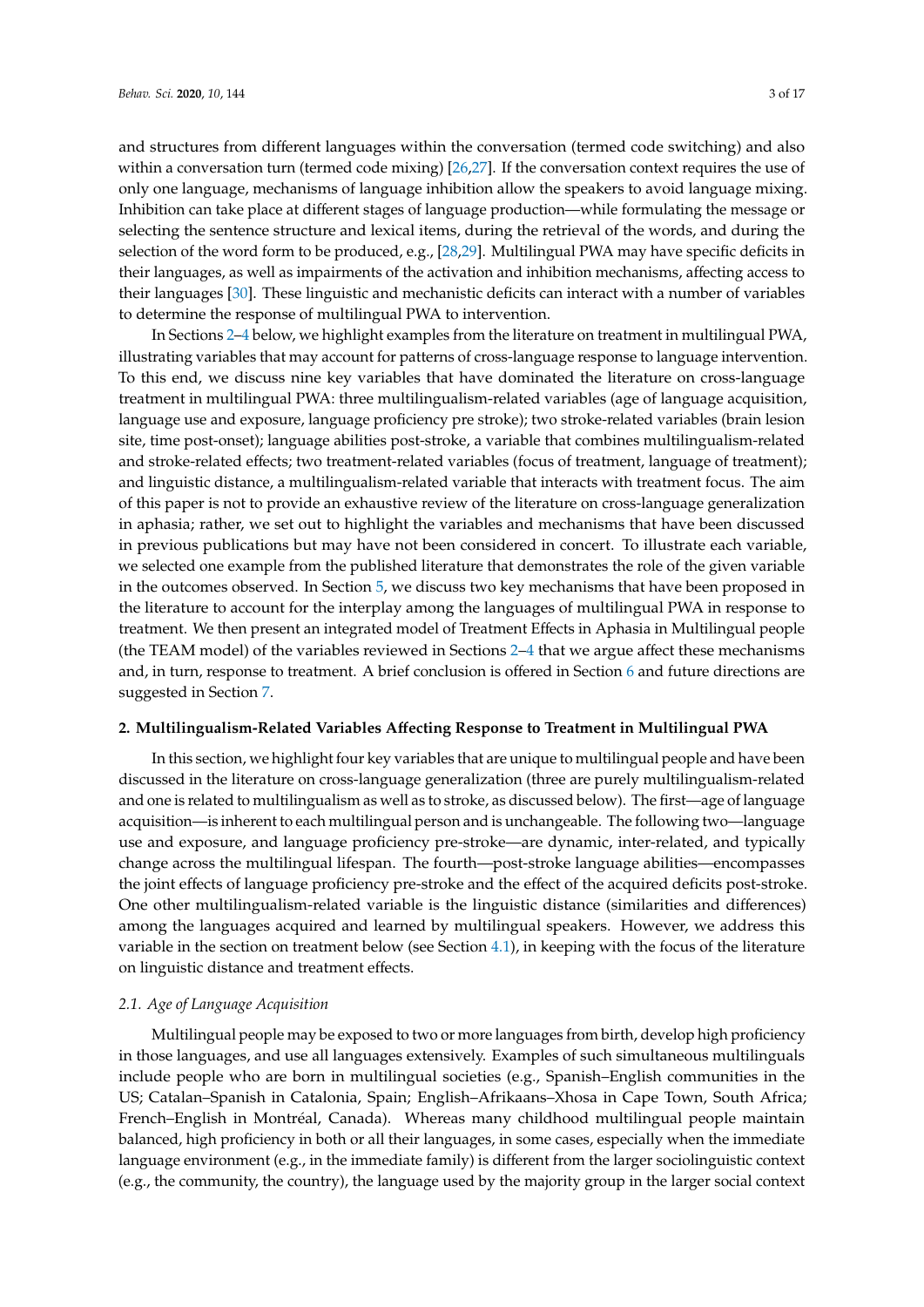and structures from different languages within the conversation (termed code switching) and also within a conversation turn (termed code mixing) [\[26,](#page-13-19)[27\]](#page-13-20). If the conversation context requires the use of only one language, mechanisms of language inhibition allow the speakers to avoid language mixing. Inhibition can take place at different stages of language production—while formulating the message or selecting the sentence structure and lexical items, during the retrieval of the words, and during the selection of the word form to be produced, e.g., [\[28](#page-13-21)[,29\]](#page-14-0). Multilingual PWA may have specific deficits in their languages, as well as impairments of the activation and inhibition mechanisms, affecting access to their languages [\[30\]](#page-14-1). These linguistic and mechanistic deficits can interact with a number of variables to determine the response of multilingual PWA to intervention.

In Sections [2–](#page-2-0)[4](#page-7-0) below, we highlight examples from the literature on treatment in multilingual PWA, illustrating variables that may account for patterns of cross-language response to language intervention. To this end, we discuss nine key variables that have dominated the literature on cross-language treatment in multilingual PWA: three multilingualism-related variables (age of language acquisition, language use and exposure, language proficiency pre stroke); two stroke-related variables (brain lesion site, time post-onset); language abilities post-stroke, a variable that combines multilingualism-related and stroke-related effects; two treatment-related variables (focus of treatment, language of treatment); and linguistic distance, a multilingualism-related variable that interacts with treatment focus. The aim of this paper is not to provide an exhaustive review of the literature on cross-language generalization in aphasia; rather, we set out to highlight the variables and mechanisms that have been discussed in previous publications but may have not been considered in concert. To illustrate each variable, we selected one example from the published literature that demonstrates the role of the given variable in the outcomes observed. In Section [5,](#page-8-0) we discuss two key mechanisms that have been proposed in the literature to account for the interplay among the languages of multilingual PWA in response to treatment. We then present an integrated model of Treatment Effects in Aphasia in Multilingual people (the TEAM model) of the variables reviewed in Sections [2](#page-2-0)[–4](#page-7-0) that we argue affect these mechanisms and, in turn, response to treatment. A brief conclusion is offered in Section [6](#page-12-2) and future directions are suggested in Section [7.](#page-12-3)

## <span id="page-2-0"></span>**2. Multilingualism-Related Variables A**ff**ecting Response to Treatment in Multilingual PWA**

In this section, we highlight four key variables that are unique to multilingual people and have been discussed in the literature on cross-language generalization (three are purely multilingualism-related and one is related to multilingualism as well as to stroke, as discussed below). The first—age of language acquisition—is inherent to each multilingual person and is unchangeable. The following two—language use and exposure, and language proficiency pre-stroke—are dynamic, inter-related, and typically change across the multilingual lifespan. The fourth—post-stroke language abilities—encompasses the joint effects of language proficiency pre-stroke and the effect of the acquired deficits post-stroke. One other multilingualism-related variable is the linguistic distance (similarities and differences) among the languages acquired and learned by multilingual speakers. However, we address this variable in the section on treatment below (see Section [4.1\)](#page-7-1), in keeping with the focus of the literature on linguistic distance and treatment effects.

## <span id="page-2-1"></span>*2.1. Age of Language Acquisition*

Multilingual people may be exposed to two or more languages from birth, develop high proficiency in those languages, and use all languages extensively. Examples of such simultaneous multilinguals include people who are born in multilingual societies (e.g., Spanish–English communities in the US; Catalan–Spanish in Catalonia, Spain; English–Afrikaans–Xhosa in Cape Town, South Africa; French–English in Montréal, Canada). Whereas many childhood multilingual people maintain balanced, high proficiency in both or all their languages, in some cases, especially when the immediate language environment (e.g., in the immediate family) is different from the larger sociolinguistic context (e.g., the community, the country), the language used by the majority group in the larger social context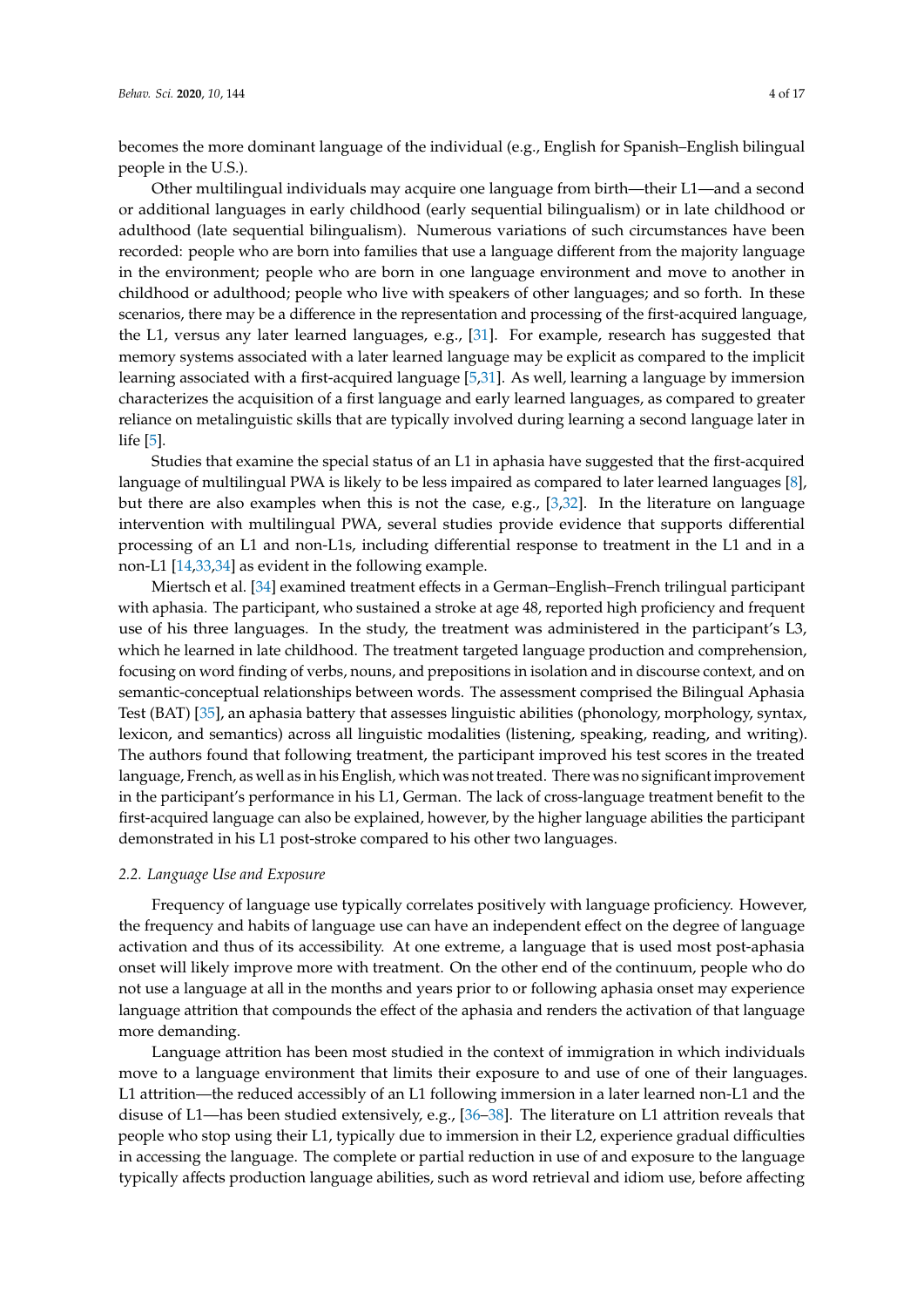becomes the more dominant language of the individual (e.g., English for Spanish–English bilingual people in the U.S.).

Other multilingual individuals may acquire one language from birth—their L1—and a second or additional languages in early childhood (early sequential bilingualism) or in late childhood or adulthood (late sequential bilingualism). Numerous variations of such circumstances have been recorded: people who are born into families that use a language different from the majority language in the environment; people who are born in one language environment and move to another in childhood or adulthood; people who live with speakers of other languages; and so forth. In these scenarios, there may be a difference in the representation and processing of the first-acquired language, the L1, versus any later learned languages, e.g., [\[31\]](#page-14-2). For example, research has suggested that memory systems associated with a later learned language may be explicit as compared to the implicit learning associated with a first-acquired language [\[5](#page-13-1)[,31\]](#page-14-2). As well, learning a language by immersion characterizes the acquisition of a first language and early learned languages, as compared to greater reliance on metalinguistic skills that are typically involved during learning a second language later in life [\[5\]](#page-13-1).

Studies that examine the special status of an L1 in aphasia have suggested that the first-acquired language of multilingual PWA is likely to be less impaired as compared to later learned languages [\[8\]](#page-13-22), but there are also examples when this is not the case, e.g., [\[3,](#page-13-0)[32\]](#page-14-3). In the literature on language intervention with multilingual PWA, several studies provide evidence that supports differential processing of an L1 and non-L1s, including differential response to treatment in the L1 and in a non-L1 [\[14,](#page-13-23)[33,](#page-14-4)[34\]](#page-14-5) as evident in the following example.

Miertsch et al. [\[34\]](#page-14-5) examined treatment effects in a German–English–French trilingual participant with aphasia. The participant, who sustained a stroke at age 48, reported high proficiency and frequent use of his three languages. In the study, the treatment was administered in the participant's L3, which he learned in late childhood. The treatment targeted language production and comprehension, focusing on word finding of verbs, nouns, and prepositions in isolation and in discourse context, and on semantic-conceptual relationships between words. The assessment comprised the Bilingual Aphasia Test (BAT) [\[35\]](#page-14-6), an aphasia battery that assesses linguistic abilities (phonology, morphology, syntax, lexicon, and semantics) across all linguistic modalities (listening, speaking, reading, and writing). The authors found that following treatment, the participant improved his test scores in the treated language, French, as well as in his English, which was not treated. There was no significant improvement in the participant's performance in his L1, German. The lack of cross-language treatment benefit to the first-acquired language can also be explained, however, by the higher language abilities the participant demonstrated in his L1 post-stroke compared to his other two languages.

## <span id="page-3-0"></span>*2.2. Language Use and Exposure*

Frequency of language use typically correlates positively with language proficiency. However, the frequency and habits of language use can have an independent effect on the degree of language activation and thus of its accessibility. At one extreme, a language that is used most post-aphasia onset will likely improve more with treatment. On the other end of the continuum, people who do not use a language at all in the months and years prior to or following aphasia onset may experience language attrition that compounds the effect of the aphasia and renders the activation of that language more demanding.

Language attrition has been most studied in the context of immigration in which individuals move to a language environment that limits their exposure to and use of one of their languages. L1 attrition—the reduced accessibly of an L1 following immersion in a later learned non-L1 and the disuse of L1—has been studied extensively, e.g., [\[36–](#page-14-7)[38\]](#page-14-8). The literature on L1 attrition reveals that people who stop using their L1, typically due to immersion in their L2, experience gradual difficulties in accessing the language. The complete or partial reduction in use of and exposure to the language typically affects production language abilities, such as word retrieval and idiom use, before affecting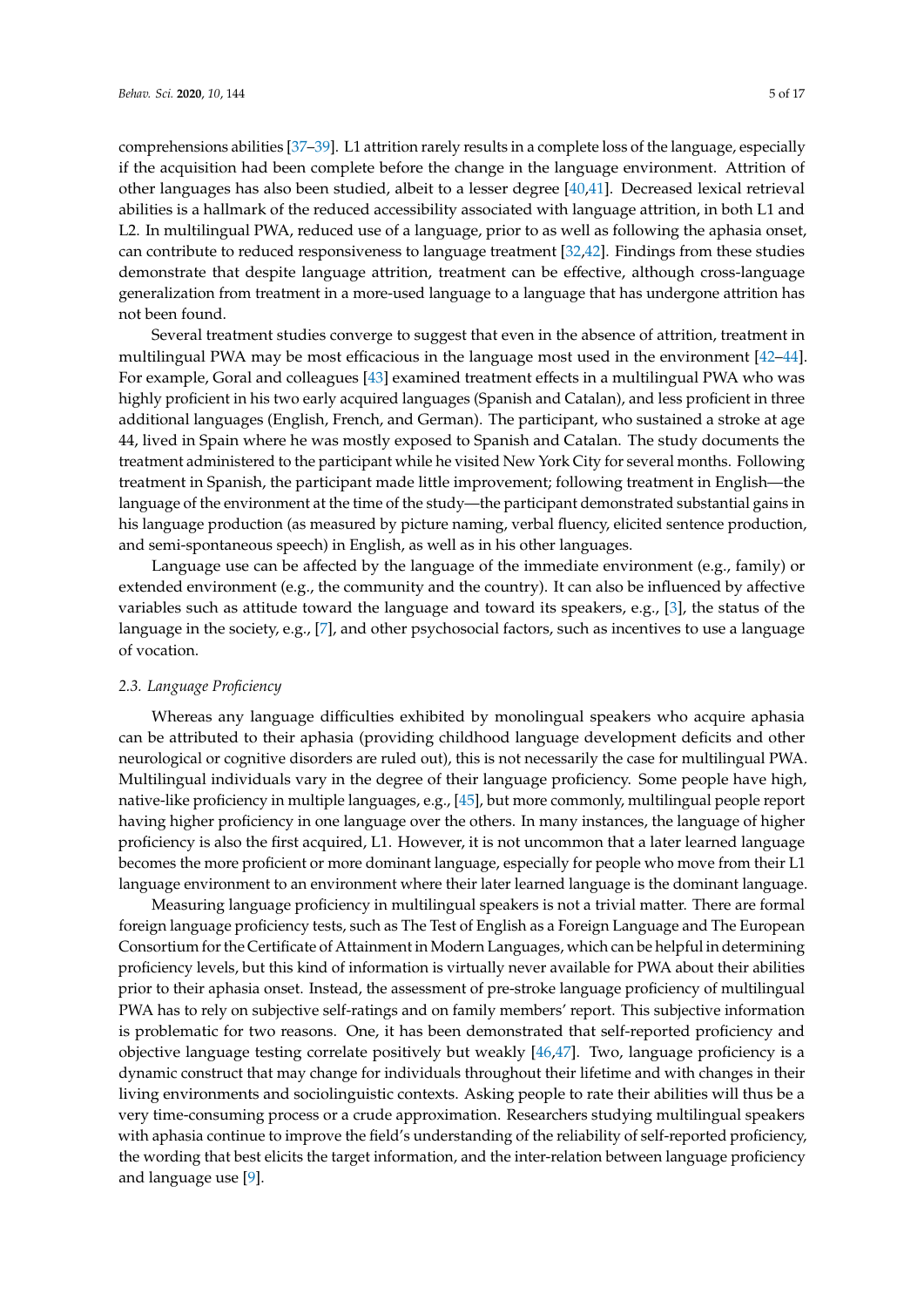comprehensions abilities [\[37–](#page-14-9)[39\]](#page-14-10). L1 attrition rarely results in a complete loss of the language, especially if the acquisition had been complete before the change in the language environment. Attrition of other languages has also been studied, albeit to a lesser degree [\[40,](#page-14-11)[41\]](#page-14-12). Decreased lexical retrieval abilities is a hallmark of the reduced accessibility associated with language attrition, in both L1 and L2. In multilingual PWA, reduced use of a language, prior to as well as following the aphasia onset, can contribute to reduced responsiveness to language treatment [\[32,](#page-14-3)[42\]](#page-14-13). Findings from these studies demonstrate that despite language attrition, treatment can be effective, although cross-language generalization from treatment in a more-used language to a language that has undergone attrition has not been found.

Several treatment studies converge to suggest that even in the absence of attrition, treatment in multilingual PWA may be most efficacious in the language most used in the environment [\[42–](#page-14-13)[44\]](#page-14-14). For example, Goral and colleagues [\[43\]](#page-14-15) examined treatment effects in a multilingual PWA who was highly proficient in his two early acquired languages (Spanish and Catalan), and less proficient in three additional languages (English, French, and German). The participant, who sustained a stroke at age 44, lived in Spain where he was mostly exposed to Spanish and Catalan. The study documents the treatment administered to the participant while he visited New York City for several months. Following treatment in Spanish, the participant made little improvement; following treatment in English—the language of the environment at the time of the study—the participant demonstrated substantial gains in his language production (as measured by picture naming, verbal fluency, elicited sentence production, and semi-spontaneous speech) in English, as well as in his other languages.

Language use can be affected by the language of the immediate environment (e.g., family) or extended environment (e.g., the community and the country). It can also be influenced by affective variables such as attitude toward the language and toward its speakers, e.g., [\[3\]](#page-13-0), the status of the language in the society, e.g., [\[7\]](#page-13-3), and other psychosocial factors, such as incentives to use a language of vocation.

## <span id="page-4-0"></span>*2.3. Language Proficiency*

Whereas any language difficulties exhibited by monolingual speakers who acquire aphasia can be attributed to their aphasia (providing childhood language development deficits and other neurological or cognitive disorders are ruled out), this is not necessarily the case for multilingual PWA. Multilingual individuals vary in the degree of their language proficiency. Some people have high, native-like proficiency in multiple languages, e.g., [\[45\]](#page-14-16), but more commonly, multilingual people report having higher proficiency in one language over the others. In many instances, the language of higher proficiency is also the first acquired, L1. However, it is not uncommon that a later learned language becomes the more proficient or more dominant language, especially for people who move from their L1 language environment to an environment where their later learned language is the dominant language.

Measuring language proficiency in multilingual speakers is not a trivial matter. There are formal foreign language proficiency tests, such as The Test of English as a Foreign Language and The European Consortium for the Certificate of Attainment in Modern Languages, which can be helpful in determining proficiency levels, but this kind of information is virtually never available for PWA about their abilities prior to their aphasia onset. Instead, the assessment of pre-stroke language proficiency of multilingual PWA has to rely on subjective self-ratings and on family members' report. This subjective information is problematic for two reasons. One, it has been demonstrated that self-reported proficiency and objective language testing correlate positively but weakly [\[46](#page-14-17)[,47\]](#page-14-18). Two, language proficiency is a dynamic construct that may change for individuals throughout their lifetime and with changes in their living environments and sociolinguistic contexts. Asking people to rate their abilities will thus be a very time-consuming process or a crude approximation. Researchers studying multilingual speakers with aphasia continue to improve the field's understanding of the reliability of self-reported proficiency, the wording that best elicits the target information, and the inter-relation between language proficiency and language use [\[9\]](#page-13-4).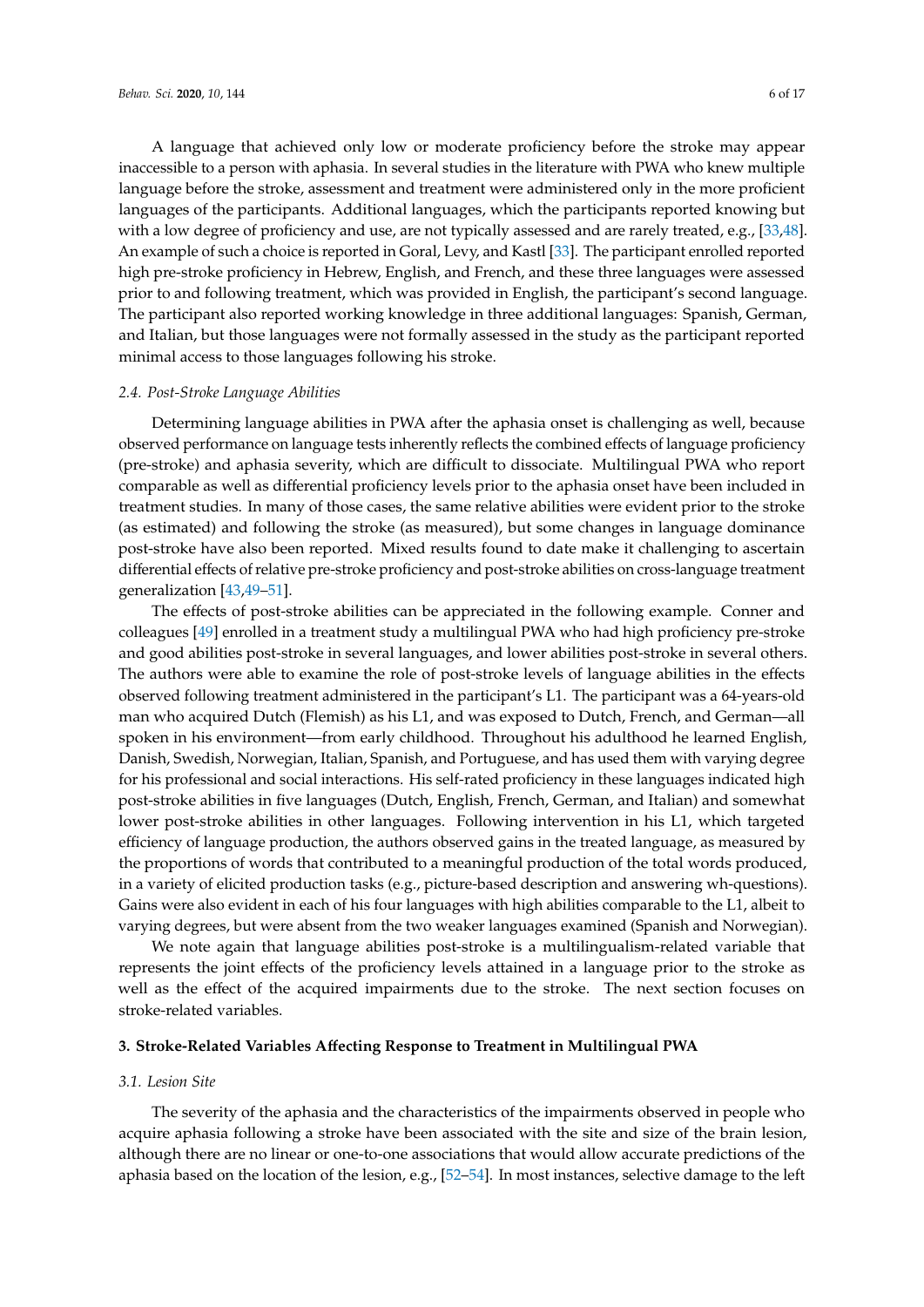A language that achieved only low or moderate proficiency before the stroke may appear inaccessible to a person with aphasia. In several studies in the literature with PWA who knew multiple language before the stroke, assessment and treatment were administered only in the more proficient languages of the participants. Additional languages, which the participants reported knowing but with a low degree of proficiency and use, are not typically assessed and are rarely treated, e.g., [\[33](#page-14-4)[,48\]](#page-14-19). An example of such a choice is reported in Goral, Levy, and Kastl [\[33\]](#page-14-4). The participant enrolled reported high pre-stroke proficiency in Hebrew, English, and French, and these three languages were assessed prior to and following treatment, which was provided in English, the participant's second language. The participant also reported working knowledge in three additional languages: Spanish, German, and Italian, but those languages were not formally assessed in the study as the participant reported minimal access to those languages following his stroke.

#### <span id="page-5-1"></span>*2.4. Post-Stroke Language Abilities*

Determining language abilities in PWA after the aphasia onset is challenging as well, because observed performance on language tests inherently reflects the combined effects of language proficiency (pre-stroke) and aphasia severity, which are difficult to dissociate. Multilingual PWA who report comparable as well as differential proficiency levels prior to the aphasia onset have been included in treatment studies. In many of those cases, the same relative abilities were evident prior to the stroke (as estimated) and following the stroke (as measured), but some changes in language dominance post-stroke have also been reported. Mixed results found to date make it challenging to ascertain differential effects of relative pre-stroke proficiency and post-stroke abilities on cross-language treatment generalization [\[43,](#page-14-15)[49–](#page-14-20)[51\]](#page-14-21).

The effects of post-stroke abilities can be appreciated in the following example. Conner and colleagues [\[49\]](#page-14-20) enrolled in a treatment study a multilingual PWA who had high proficiency pre-stroke and good abilities post-stroke in several languages, and lower abilities post-stroke in several others. The authors were able to examine the role of post-stroke levels of language abilities in the effects observed following treatment administered in the participant's L1. The participant was a 64-years-old man who acquired Dutch (Flemish) as his L1, and was exposed to Dutch, French, and German—all spoken in his environment—from early childhood. Throughout his adulthood he learned English, Danish, Swedish, Norwegian, Italian, Spanish, and Portuguese, and has used them with varying degree for his professional and social interactions. His self-rated proficiency in these languages indicated high post-stroke abilities in five languages (Dutch, English, French, German, and Italian) and somewhat lower post-stroke abilities in other languages. Following intervention in his L1, which targeted efficiency of language production, the authors observed gains in the treated language, as measured by the proportions of words that contributed to a meaningful production of the total words produced, in a variety of elicited production tasks (e.g., picture-based description and answering wh-questions). Gains were also evident in each of his four languages with high abilities comparable to the L1, albeit to varying degrees, but were absent from the two weaker languages examined (Spanish and Norwegian).

We note again that language abilities post-stroke is a multilingualism-related variable that represents the joint effects of the proficiency levels attained in a language prior to the stroke as well as the effect of the acquired impairments due to the stroke. The next section focuses on stroke-related variables.

## <span id="page-5-2"></span>**3. Stroke-Related Variables A**ff**ecting Response to Treatment in Multilingual PWA**

#### <span id="page-5-0"></span>*3.1. Lesion Site*

The severity of the aphasia and the characteristics of the impairments observed in people who acquire aphasia following a stroke have been associated with the site and size of the brain lesion, although there are no linear or one-to-one associations that would allow accurate predictions of the aphasia based on the location of the lesion, e.g., [\[52](#page-14-22)[–54\]](#page-15-0). In most instances, selective damage to the left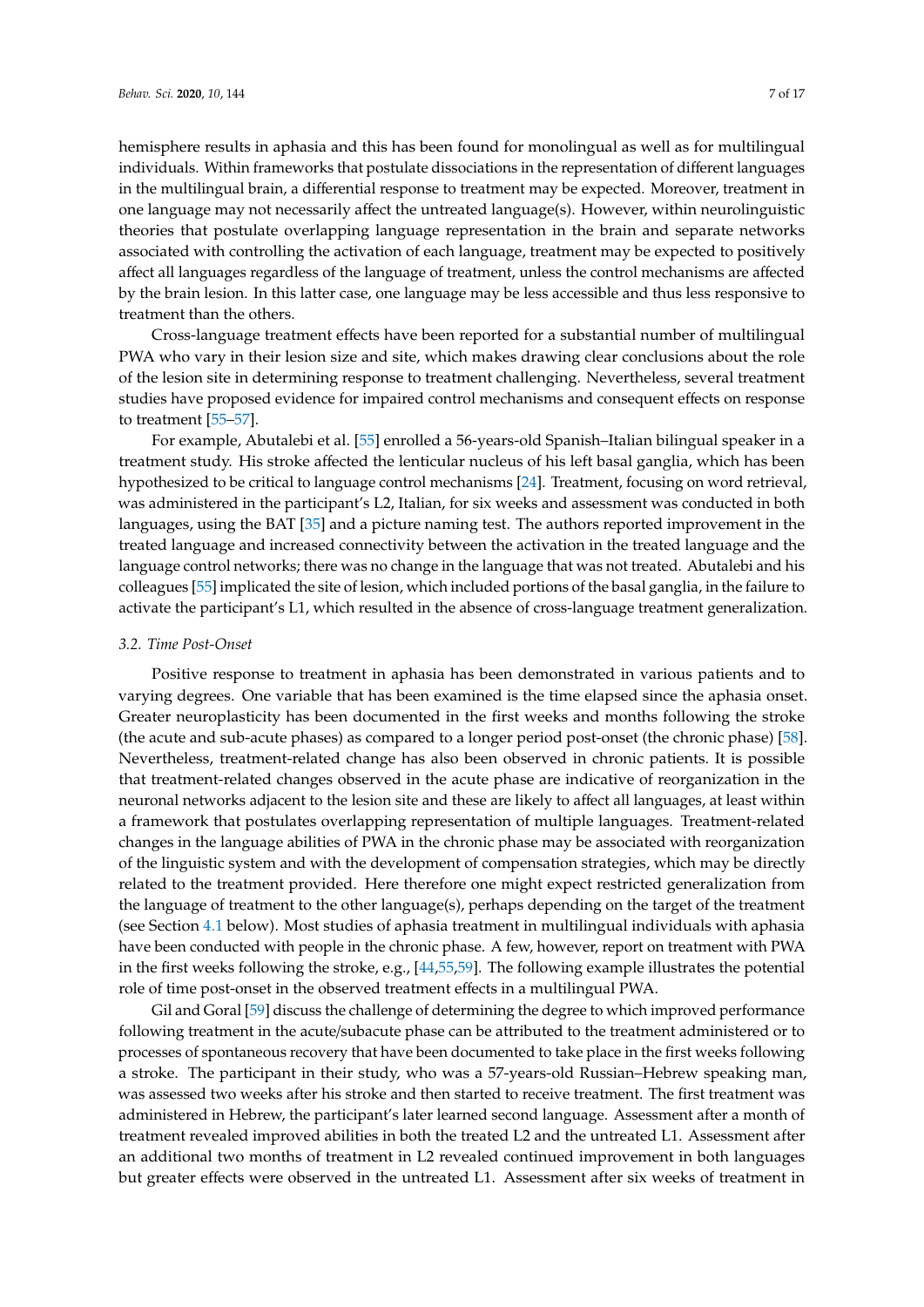hemisphere results in aphasia and this has been found for monolingual as well as for multilingual individuals. Within frameworks that postulate dissociations in the representation of different languages in the multilingual brain, a differential response to treatment may be expected. Moreover, treatment in one language may not necessarily affect the untreated language(s). However, within neurolinguistic theories that postulate overlapping language representation in the brain and separate networks associated with controlling the activation of each language, treatment may be expected to positively

affect all languages regardless of the language of treatment, unless the control mechanisms are affected by the brain lesion. In this latter case, one language may be less accessible and thus less responsive to treatment than the others.

Cross-language treatment effects have been reported for a substantial number of multilingual PWA who vary in their lesion size and site, which makes drawing clear conclusions about the role of the lesion site in determining response to treatment challenging. Nevertheless, several treatment studies have proposed evidence for impaired control mechanisms and consequent effects on response to treatment [\[55](#page-15-1)[–57\]](#page-15-2).

For example, Abutalebi et al. [\[55\]](#page-15-1) enrolled a 56-years-old Spanish–Italian bilingual speaker in a treatment study. His stroke affected the lenticular nucleus of his left basal ganglia, which has been hypothesized to be critical to language control mechanisms [\[24\]](#page-13-17). Treatment, focusing on word retrieval, was administered in the participant's L2, Italian, for six weeks and assessment was conducted in both languages, using the BAT [\[35\]](#page-14-6) and a picture naming test. The authors reported improvement in the treated language and increased connectivity between the activation in the treated language and the language control networks; there was no change in the language that was not treated. Abutalebi and his colleagues [\[55\]](#page-15-1) implicated the site of lesion, which included portions of the basal ganglia, in the failure to activate the participant's L1, which resulted in the absence of cross-language treatment generalization.

#### <span id="page-6-0"></span>*3.2. Time Post-Onset*

Positive response to treatment in aphasia has been demonstrated in various patients and to varying degrees. One variable that has been examined is the time elapsed since the aphasia onset. Greater neuroplasticity has been documented in the first weeks and months following the stroke (the acute and sub-acute phases) as compared to a longer period post-onset (the chronic phase) [\[58\]](#page-15-3). Nevertheless, treatment-related change has also been observed in chronic patients. It is possible that treatment-related changes observed in the acute phase are indicative of reorganization in the neuronal networks adjacent to the lesion site and these are likely to affect all languages, at least within a framework that postulates overlapping representation of multiple languages. Treatment-related changes in the language abilities of PWA in the chronic phase may be associated with reorganization of the linguistic system and with the development of compensation strategies, which may be directly related to the treatment provided. Here therefore one might expect restricted generalization from the language of treatment to the other language(s), perhaps depending on the target of the treatment (see Section [4.1](#page-7-1) below). Most studies of aphasia treatment in multilingual individuals with aphasia have been conducted with people in the chronic phase. A few, however, report on treatment with PWA in the first weeks following the stroke, e.g., [\[44,](#page-14-14)[55,](#page-15-1)[59\]](#page-15-4). The following example illustrates the potential role of time post-onset in the observed treatment effects in a multilingual PWA.

Gil and Goral [\[59\]](#page-15-4) discuss the challenge of determining the degree to which improved performance following treatment in the acute/subacute phase can be attributed to the treatment administered or to processes of spontaneous recovery that have been documented to take place in the first weeks following a stroke. The participant in their study, who was a 57-years-old Russian–Hebrew speaking man, was assessed two weeks after his stroke and then started to receive treatment. The first treatment was administered in Hebrew, the participant's later learned second language. Assessment after a month of treatment revealed improved abilities in both the treated L2 and the untreated L1. Assessment after an additional two months of treatment in L2 revealed continued improvement in both languages but greater effects were observed in the untreated L1. Assessment after six weeks of treatment in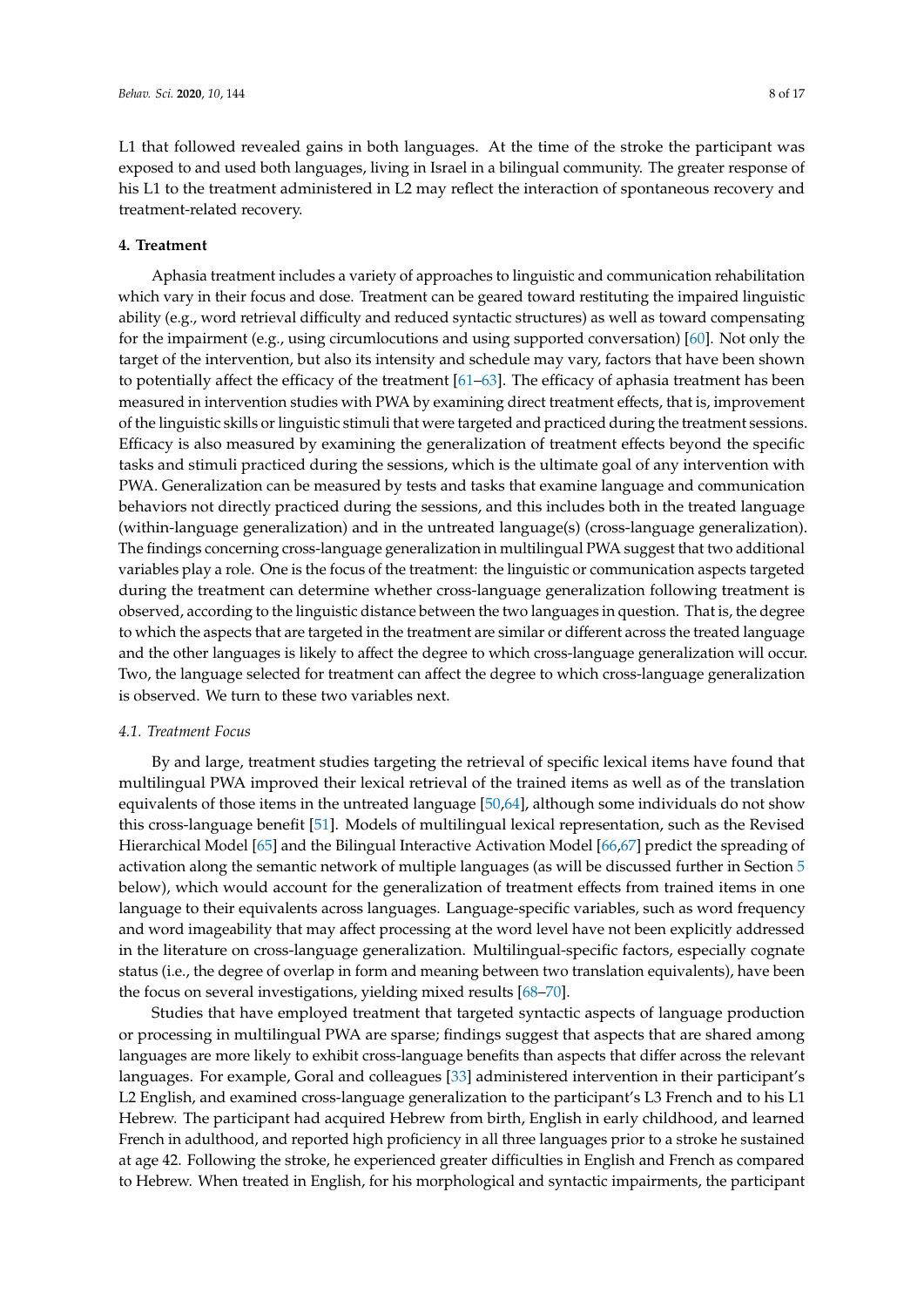L1 that followed revealed gains in both languages. At the time of the stroke the participant was exposed to and used both languages, living in Israel in a bilingual community. The greater response of his L1 to the treatment administered in L2 may reflect the interaction of spontaneous recovery and treatment-related recovery.

#### <span id="page-7-0"></span>**4. Treatment**

Aphasia treatment includes a variety of approaches to linguistic and communication rehabilitation which vary in their focus and dose. Treatment can be geared toward restituting the impaired linguistic ability (e.g., word retrieval difficulty and reduced syntactic structures) as well as toward compensating for the impairment (e.g., using circumlocutions and using supported conversation) [\[60\]](#page-15-5). Not only the target of the intervention, but also its intensity and schedule may vary, factors that have been shown to potentially affect the efficacy of the treatment [\[61](#page-15-6)[–63\]](#page-15-7). The efficacy of aphasia treatment has been measured in intervention studies with PWA by examining direct treatment effects, that is, improvement of the linguistic skills or linguistic stimuli that were targeted and practiced during the treatment sessions. Efficacy is also measured by examining the generalization of treatment effects beyond the specific tasks and stimuli practiced during the sessions, which is the ultimate goal of any intervention with PWA. Generalization can be measured by tests and tasks that examine language and communication behaviors not directly practiced during the sessions, and this includes both in the treated language (within-language generalization) and in the untreated language(s) (cross-language generalization). The findings concerning cross-language generalization in multilingual PWA suggest that two additional variables play a role. One is the focus of the treatment: the linguistic or communication aspects targeted during the treatment can determine whether cross-language generalization following treatment is observed, according to the linguistic distance between the two languages in question. That is, the degree to which the aspects that are targeted in the treatment are similar or different across the treated language and the other languages is likely to affect the degree to which cross-language generalization will occur. Two, the language selected for treatment can affect the degree to which cross-language generalization is observed. We turn to these two variables next.

#### <span id="page-7-1"></span>*4.1. Treatment Focus*

By and large, treatment studies targeting the retrieval of specific lexical items have found that multilingual PWA improved their lexical retrieval of the trained items as well as of the translation equivalents of those items in the untreated language [\[50,](#page-14-23)[64\]](#page-15-8), although some individuals do not show this cross-language benefit [\[51\]](#page-14-21). Models of multilingual lexical representation, such as the Revised Hierarchical Model [\[65\]](#page-15-9) and the Bilingual Interactive Activation Model [\[66,](#page-15-10)[67\]](#page-15-11) predict the spreading of activation along the semantic network of multiple languages (as will be discussed further in Section [5](#page-8-0) below), which would account for the generalization of treatment effects from trained items in one language to their equivalents across languages. Language-specific variables, such as word frequency and word imageability that may affect processing at the word level have not been explicitly addressed in the literature on cross-language generalization. Multilingual-specific factors, especially cognate status (i.e., the degree of overlap in form and meaning between two translation equivalents), have been the focus on several investigations, yielding mixed results [\[68–](#page-15-12)[70\]](#page-15-13).

Studies that have employed treatment that targeted syntactic aspects of language production or processing in multilingual PWA are sparse; findings suggest that aspects that are shared among languages are more likely to exhibit cross-language benefits than aspects that differ across the relevant languages. For example, Goral and colleagues [\[33\]](#page-14-4) administered intervention in their participant's L2 English, and examined cross-language generalization to the participant's L3 French and to his L1 Hebrew. The participant had acquired Hebrew from birth, English in early childhood, and learned French in adulthood, and reported high proficiency in all three languages prior to a stroke he sustained at age 42. Following the stroke, he experienced greater difficulties in English and French as compared to Hebrew. When treated in English, for his morphological and syntactic impairments, the participant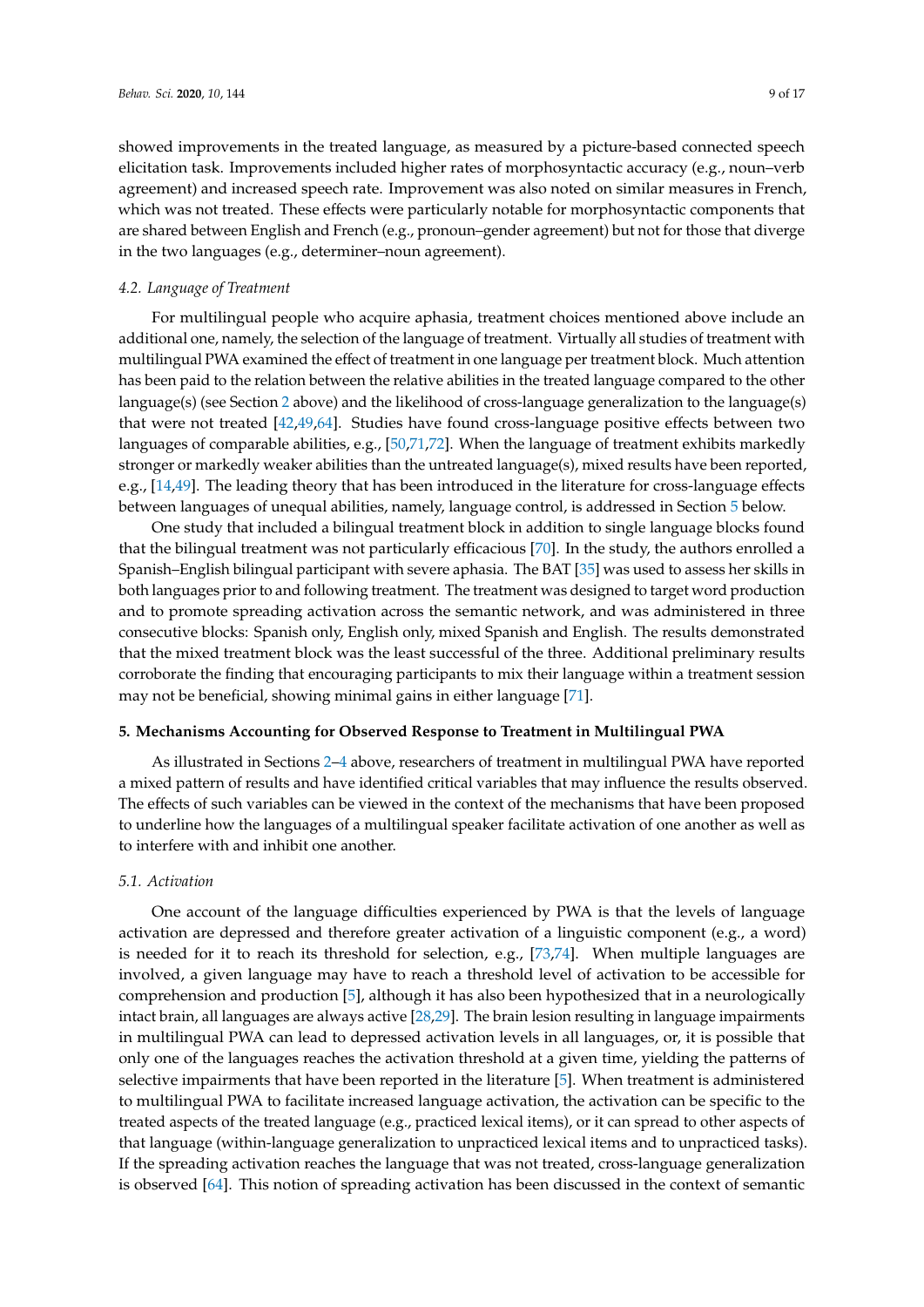showed improvements in the treated language, as measured by a picture-based connected speech elicitation task. Improvements included higher rates of morphosyntactic accuracy (e.g., noun–verb agreement) and increased speech rate. Improvement was also noted on similar measures in French, which was not treated. These effects were particularly notable for morphosyntactic components that are shared between English and French (e.g., pronoun–gender agreement) but not for those that diverge in the two languages (e.g., determiner–noun agreement).

## *4.2. Language of Treatment*

For multilingual people who acquire aphasia, treatment choices mentioned above include an additional one, namely, the selection of the language of treatment. Virtually all studies of treatment with multilingual PWA examined the effect of treatment in one language per treatment block. Much attention has been paid to the relation between the relative abilities in the treated language compared to the other language(s) (see Section [2](#page-2-0) above) and the likelihood of cross-language generalization to the language(s) that were not treated [\[42](#page-14-13)[,49](#page-14-20)[,64\]](#page-15-8). Studies have found cross-language positive effects between two languages of comparable abilities, e.g., [\[50,](#page-14-23)[71,](#page-15-14)[72\]](#page-15-15). When the language of treatment exhibits markedly stronger or markedly weaker abilities than the untreated language(s), mixed results have been reported, e.g., [\[14,](#page-13-23)[49\]](#page-14-20). The leading theory that has been introduced in the literature for cross-language effects between languages of unequal abilities, namely, language control, is addressed in Section [5](#page-8-0) below.

One study that included a bilingual treatment block in addition to single language blocks found that the bilingual treatment was not particularly efficacious [\[70\]](#page-15-13). In the study, the authors enrolled a Spanish–English bilingual participant with severe aphasia. The BAT [\[35\]](#page-14-6) was used to assess her skills in both languages prior to and following treatment. The treatment was designed to target word production and to promote spreading activation across the semantic network, and was administered in three consecutive blocks: Spanish only, English only, mixed Spanish and English. The results demonstrated that the mixed treatment block was the least successful of the three. Additional preliminary results corroborate the finding that encouraging participants to mix their language within a treatment session may not be beneficial, showing minimal gains in either language [\[71\]](#page-15-14).

## <span id="page-8-0"></span>**5. Mechanisms Accounting for Observed Response to Treatment in Multilingual PWA**

As illustrated in Sections [2–](#page-2-0)[4](#page-7-0) above, researchers of treatment in multilingual PWA have reported a mixed pattern of results and have identified critical variables that may influence the results observed. The effects of such variables can be viewed in the context of the mechanisms that have been proposed to underline how the languages of a multilingual speaker facilitate activation of one another as well as to interfere with and inhibit one another.

#### <span id="page-8-1"></span>*5.1. Activation*

One account of the language difficulties experienced by PWA is that the levels of language activation are depressed and therefore greater activation of a linguistic component (e.g., a word) is needed for it to reach its threshold for selection, e.g., [\[73](#page-15-16)[,74\]](#page-15-17). When multiple languages are involved, a given language may have to reach a threshold level of activation to be accessible for comprehension and production [\[5\]](#page-13-1), although it has also been hypothesized that in a neurologically intact brain, all languages are always active [\[28,](#page-13-21)[29\]](#page-14-0). The brain lesion resulting in language impairments in multilingual PWA can lead to depressed activation levels in all languages, or, it is possible that only one of the languages reaches the activation threshold at a given time, yielding the patterns of selective impairments that have been reported in the literature [\[5\]](#page-13-1). When treatment is administered to multilingual PWA to facilitate increased language activation, the activation can be specific to the treated aspects of the treated language (e.g., practiced lexical items), or it can spread to other aspects of that language (within-language generalization to unpracticed lexical items and to unpracticed tasks). If the spreading activation reaches the language that was not treated, cross-language generalization is observed [\[64\]](#page-15-8). This notion of spreading activation has been discussed in the context of semantic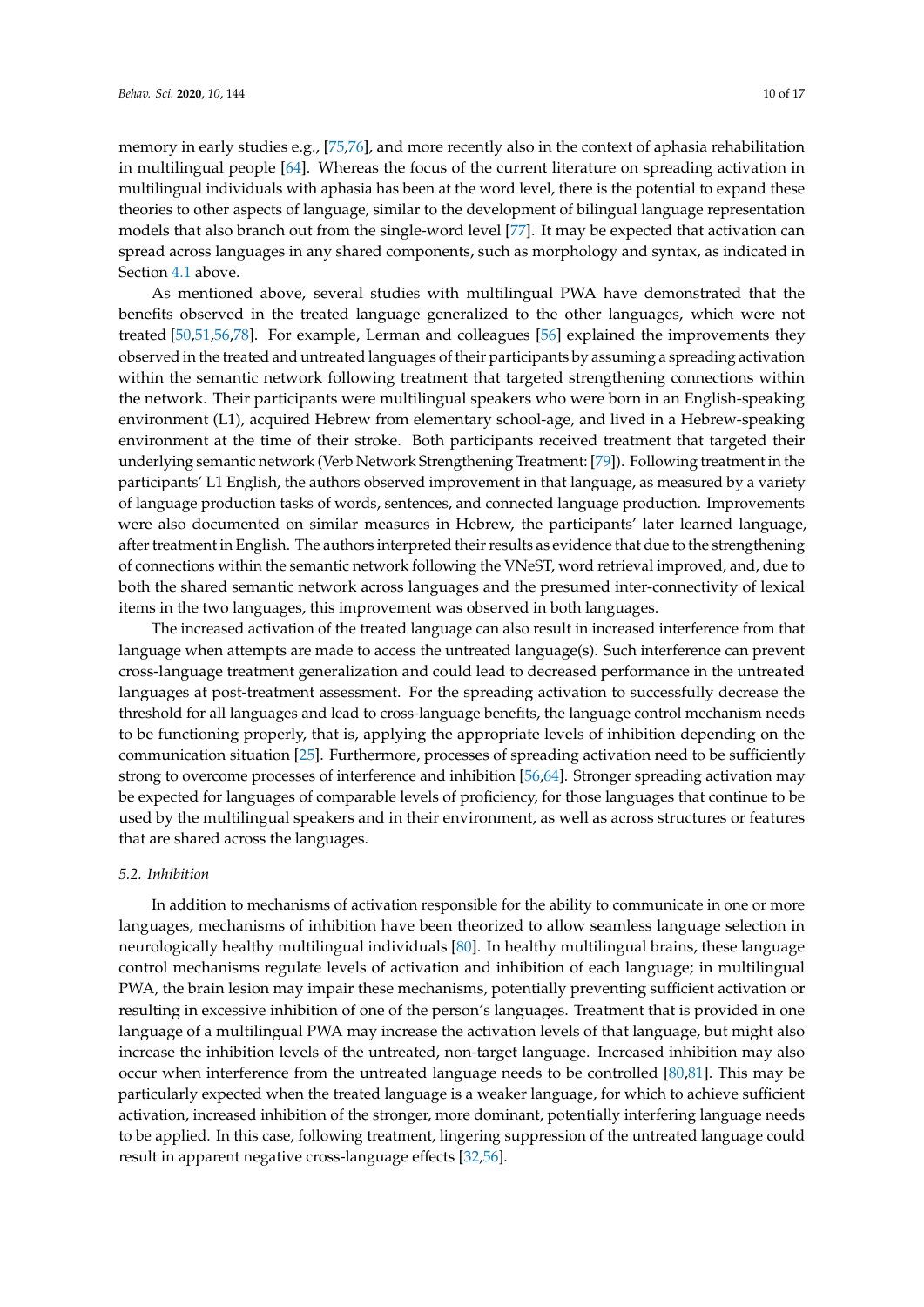memory in early studies e.g., [\[75](#page-15-18)[,76\]](#page-15-19), and more recently also in the context of aphasia rehabilitation in multilingual people [\[64\]](#page-15-8). Whereas the focus of the current literature on spreading activation in multilingual individuals with aphasia has been at the word level, there is the potential to expand these theories to other aspects of language, similar to the development of bilingual language representation models that also branch out from the single-word level [\[77\]](#page-15-20). It may be expected that activation can spread across languages in any shared components, such as morphology and syntax, as indicated in Section [4.1](#page-7-1) above.

As mentioned above, several studies with multilingual PWA have demonstrated that the benefits observed in the treated language generalized to the other languages, which were not treated [\[50,](#page-14-23)[51,](#page-14-21)[56,](#page-15-21)[78\]](#page-15-22). For example, Lerman and colleagues [\[56\]](#page-15-21) explained the improvements they observed in the treated and untreated languages of their participants by assuming a spreading activation within the semantic network following treatment that targeted strengthening connections within the network. Their participants were multilingual speakers who were born in an English-speaking environment (L1), acquired Hebrew from elementary school-age, and lived in a Hebrew-speaking environment at the time of their stroke. Both participants received treatment that targeted their underlying semantic network (Verb Network Strengthening Treatment: [\[79\]](#page-16-0)). Following treatment in the participants' L1 English, the authors observed improvement in that language, as measured by a variety of language production tasks of words, sentences, and connected language production. Improvements were also documented on similar measures in Hebrew, the participants' later learned language, after treatment in English. The authors interpreted their results as evidence that due to the strengthening of connections within the semantic network following the VNeST, word retrieval improved, and, due to both the shared semantic network across languages and the presumed inter-connectivity of lexical items in the two languages, this improvement was observed in both languages.

The increased activation of the treated language can also result in increased interference from that language when attempts are made to access the untreated language(s). Such interference can prevent cross-language treatment generalization and could lead to decreased performance in the untreated languages at post-treatment assessment. For the spreading activation to successfully decrease the threshold for all languages and lead to cross-language benefits, the language control mechanism needs to be functioning properly, that is, applying the appropriate levels of inhibition depending on the communication situation [\[25\]](#page-13-18). Furthermore, processes of spreading activation need to be sufficiently strong to overcome processes of interference and inhibition [\[56](#page-15-21)[,64\]](#page-15-8). Stronger spreading activation may be expected for languages of comparable levels of proficiency, for those languages that continue to be used by the multilingual speakers and in their environment, as well as across structures or features that are shared across the languages.

## *5.2. Inhibition*

In addition to mechanisms of activation responsible for the ability to communicate in one or more languages, mechanisms of inhibition have been theorized to allow seamless language selection in neurologically healthy multilingual individuals [\[80\]](#page-16-1). In healthy multilingual brains, these language control mechanisms regulate levels of activation and inhibition of each language; in multilingual PWA, the brain lesion may impair these mechanisms, potentially preventing sufficient activation or resulting in excessive inhibition of one of the person's languages. Treatment that is provided in one language of a multilingual PWA may increase the activation levels of that language, but might also increase the inhibition levels of the untreated, non-target language. Increased inhibition may also occur when interference from the untreated language needs to be controlled [\[80](#page-16-1)[,81\]](#page-16-2). This may be particularly expected when the treated language is a weaker language, for which to achieve sufficient activation, increased inhibition of the stronger, more dominant, potentially interfering language needs to be applied. In this case, following treatment, lingering suppression of the untreated language could result in apparent negative cross-language effects [\[32](#page-14-3)[,56\]](#page-15-21).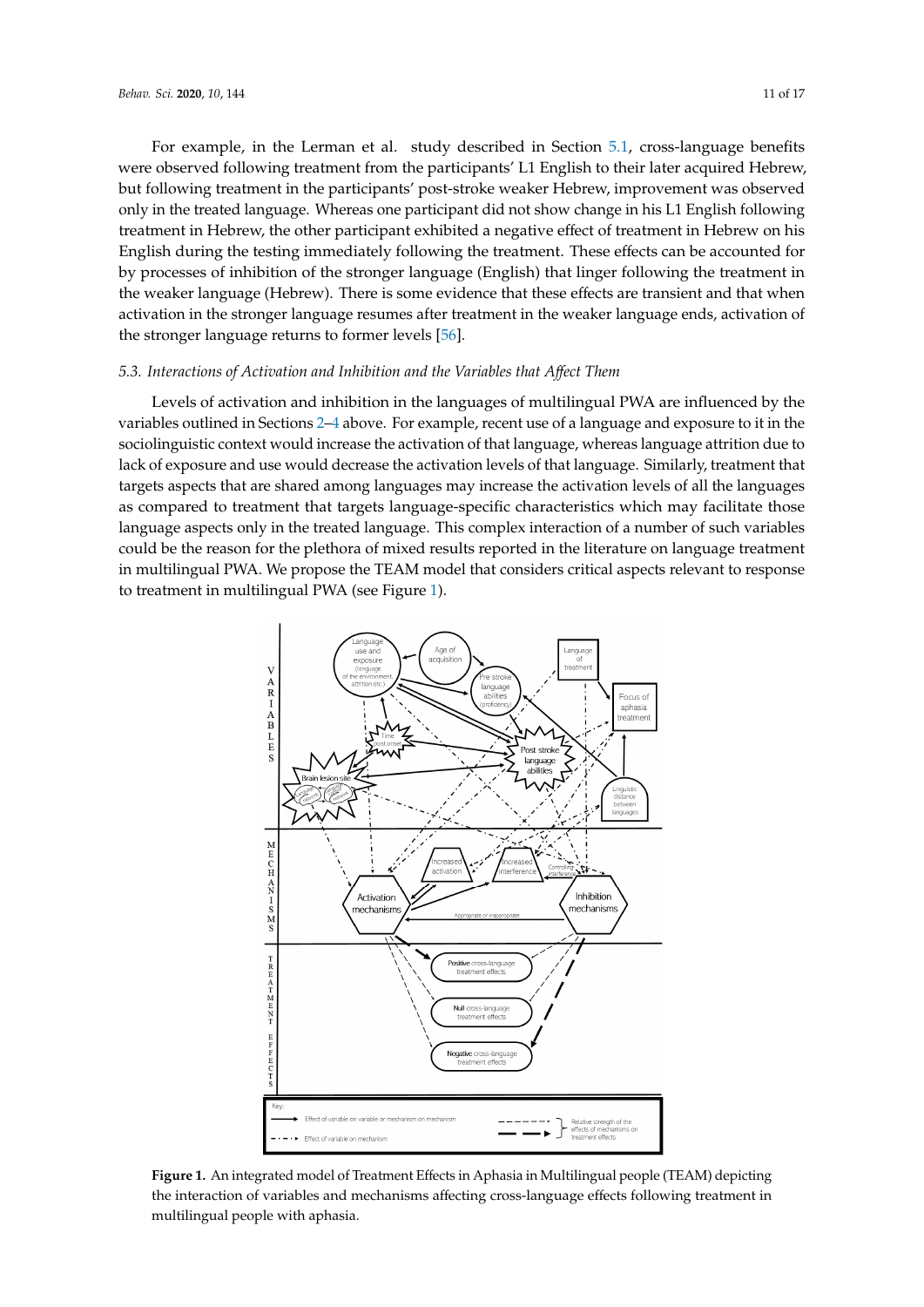For example, in the Lerman et al. study described in Section [5.1,](#page-8-1) cross-language benefits were observed following treatment from the participants' L1 English to their later acquired Hebrew, but following treatment in the participants' post-stroke weaker Hebrew, improvement was observed only in the treated language. Whereas one participant did not show change in his L1 English following treatment in Hebrew, the other participant exhibited a negative effect of treatment in Hebrew on his English during the testing immediately following the treatment. These effects can be accounted for by processes of inhibition of the stronger language (English) that linger following the treatment in the weaker language (Hebrew). There is some evidence that these effects are transient and that when activation in the stronger language resumes after treatment in the weaker language ends, activation of *Behav. Sci.* **2020**, *10*, x 11 of 17 the stronger language returns to former levels [\[56\]](#page-15-21).  $\frac{1}{\sqrt{2}}$ 

#### 5.3. Interactions of Activation and Inhibition and the Variables that Affect Them ends, activation of the stronger language returns to former levels [56].

Levels of activation and inhibition in the languages of multilingual PWA are influenced by the variables outlined in Sections [2–](#page-2-0)[4](#page-7-0) above. For example, recent use of a language and exposure to it in the sociolinguistic context would increase the activation of that language, whereas language attrition due to lack of exposure and use would decrease the activation levels of that language. Similarly, treatment that targets aspects that are shared among languages may increase the activation levels of all the languages as compared to treatment that targets language-specific characteristics which may facilitate those language aspects only in the treated language. This complex interaction of a number of such variables could be the reason for the plethora of mixed results reported in the literature on language treatment in multilingual PWA. We propose the TEAM model that considers critical aspects relevant to response to treatment in multilingual PWA (see Figure [1\)](#page-10-0). the sociolinguistic context would accrease the activation of the of that language, whenever  $\eta$  deals no such variables could be the reason for the reason for the literature on the graduate

<span id="page-10-0"></span>

**Figure 1.** An integrated model of Treatment Effects in Aphasia in Multilingual people (TEAM) **Figure 1.** An integrated model of Treatment Effects in Aphasia in Multilingual people (TEAM) depicting the interaction of variables and mechanisms affecting cross-language effects following treatment in multilingual people with aphasia.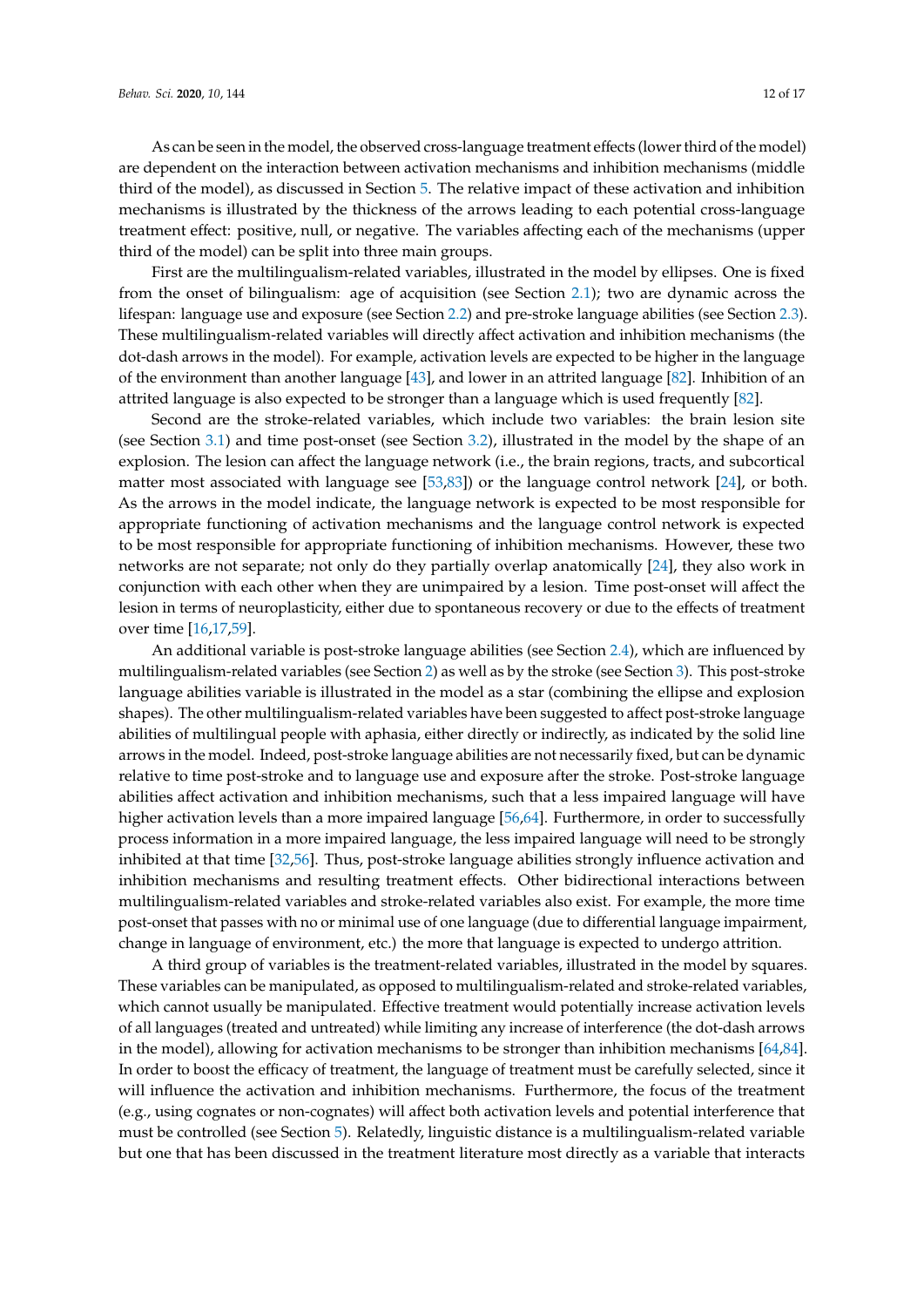As can be seen in the model, the observed cross-language treatment effects (lower third of the model) are dependent on the interaction between activation mechanisms and inhibition mechanisms (middle third of the model), as discussed in Section [5.](#page-8-0) The relative impact of these activation and inhibition mechanisms is illustrated by the thickness of the arrows leading to each potential cross-language treatment effect: positive, null, or negative. The variables affecting each of the mechanisms (upper third of the model) can be split into three main groups.

First are the multilingualism-related variables, illustrated in the model by ellipses. One is fixed from the onset of bilingualism: age of acquisition (see Section [2.1\)](#page-2-1); two are dynamic across the lifespan: language use and exposure (see Section [2.2\)](#page-3-0) and pre-stroke language abilities (see Section [2.3\)](#page-4-0). These multilingualism-related variables will directly affect activation and inhibition mechanisms (the dot-dash arrows in the model). For example, activation levels are expected to be higher in the language of the environment than another language [\[43\]](#page-14-15), and lower in an attrited language [\[82\]](#page-16-3). Inhibition of an attrited language is also expected to be stronger than a language which is used frequently [\[82\]](#page-16-3).

Second are the stroke-related variables, which include two variables: the brain lesion site (see Section [3.1\)](#page-5-0) and time post-onset (see Section [3.2\)](#page-6-0), illustrated in the model by the shape of an explosion. The lesion can affect the language network (i.e., the brain regions, tracts, and subcortical matter most associated with language see [\[53,](#page-14-24)[83\]](#page-16-4)) or the language control network [\[24\]](#page-13-17), or both. As the arrows in the model indicate, the language network is expected to be most responsible for appropriate functioning of activation mechanisms and the language control network is expected to be most responsible for appropriate functioning of inhibition mechanisms. However, these two networks are not separate; not only do they partially overlap anatomically [\[24\]](#page-13-17), they also work in conjunction with each other when they are unimpaired by a lesion. Time post-onset will affect the lesion in terms of neuroplasticity, either due to spontaneous recovery or due to the effects of treatment over time [\[16](#page-13-9)[,17,](#page-13-10)[59\]](#page-15-4).

An additional variable is post-stroke language abilities (see Section [2.4\)](#page-5-1), which are influenced by multilingualism-related variables (see Section [2\)](#page-2-0) as well as by the stroke (see Section [3\)](#page-5-2). This post-stroke language abilities variable is illustrated in the model as a star (combining the ellipse and explosion shapes). The other multilingualism-related variables have been suggested to affect post-stroke language abilities of multilingual people with aphasia, either directly or indirectly, as indicated by the solid line arrows in the model. Indeed, post-stroke language abilities are not necessarily fixed, but can be dynamic relative to time post-stroke and to language use and exposure after the stroke. Post-stroke language abilities affect activation and inhibition mechanisms, such that a less impaired language will have higher activation levels than a more impaired language [\[56](#page-15-21)[,64\]](#page-15-8). Furthermore, in order to successfully process information in a more impaired language, the less impaired language will need to be strongly inhibited at that time [\[32](#page-14-3)[,56\]](#page-15-21). Thus, post-stroke language abilities strongly influence activation and inhibition mechanisms and resulting treatment effects. Other bidirectional interactions between multilingualism-related variables and stroke-related variables also exist. For example, the more time post-onset that passes with no or minimal use of one language (due to differential language impairment, change in language of environment, etc.) the more that language is expected to undergo attrition.

A third group of variables is the treatment-related variables, illustrated in the model by squares. These variables can be manipulated, as opposed to multilingualism-related and stroke-related variables, which cannot usually be manipulated. Effective treatment would potentially increase activation levels of all languages (treated and untreated) while limiting any increase of interference (the dot-dash arrows in the model), allowing for activation mechanisms to be stronger than inhibition mechanisms [\[64,](#page-15-8)[84\]](#page-16-5). In order to boost the efficacy of treatment, the language of treatment must be carefully selected, since it will influence the activation and inhibition mechanisms. Furthermore, the focus of the treatment (e.g., using cognates or non-cognates) will affect both activation levels and potential interference that must be controlled (see Section [5\)](#page-8-0). Relatedly, linguistic distance is a multilingualism-related variable but one that has been discussed in the treatment literature most directly as a variable that interacts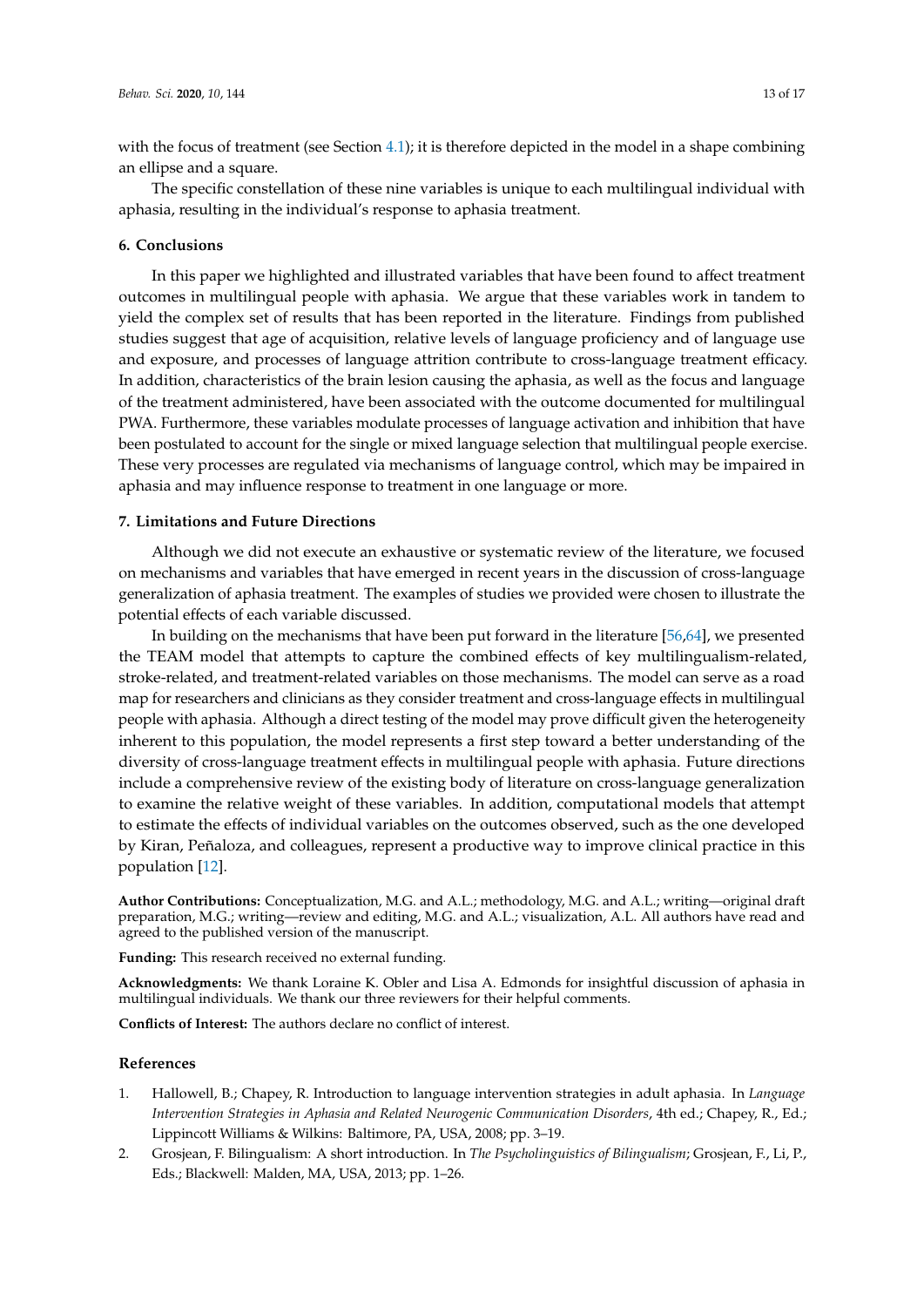with the focus of treatment (see Section [4.1\)](#page-7-1); it is therefore depicted in the model in a shape combining an ellipse and a square.

The specific constellation of these nine variables is unique to each multilingual individual with aphasia, resulting in the individual's response to aphasia treatment.

## <span id="page-12-2"></span>**6. Conclusions**

In this paper we highlighted and illustrated variables that have been found to affect treatment outcomes in multilingual people with aphasia. We argue that these variables work in tandem to yield the complex set of results that has been reported in the literature. Findings from published studies suggest that age of acquisition, relative levels of language proficiency and of language use and exposure, and processes of language attrition contribute to cross-language treatment efficacy. In addition, characteristics of the brain lesion causing the aphasia, as well as the focus and language of the treatment administered, have been associated with the outcome documented for multilingual PWA. Furthermore, these variables modulate processes of language activation and inhibition that have been postulated to account for the single or mixed language selection that multilingual people exercise. These very processes are regulated via mechanisms of language control, which may be impaired in aphasia and may influence response to treatment in one language or more.

## <span id="page-12-3"></span>**7. Limitations and Future Directions**

Although we did not execute an exhaustive or systematic review of the literature, we focused on mechanisms and variables that have emerged in recent years in the discussion of cross-language generalization of aphasia treatment. The examples of studies we provided were chosen to illustrate the potential effects of each variable discussed.

In building on the mechanisms that have been put forward in the literature [\[56](#page-15-21)[,64\]](#page-15-8), we presented the TEAM model that attempts to capture the combined effects of key multilingualism-related, stroke-related, and treatment-related variables on those mechanisms. The model can serve as a road map for researchers and clinicians as they consider treatment and cross-language effects in multilingual people with aphasia. Although a direct testing of the model may prove difficult given the heterogeneity inherent to this population, the model represents a first step toward a better understanding of the diversity of cross-language treatment effects in multilingual people with aphasia. Future directions include a comprehensive review of the existing body of literature on cross-language generalization to examine the relative weight of these variables. In addition, computational models that attempt to estimate the effects of individual variables on the outcomes observed, such as the one developed by Kiran, Peñaloza, and colleagues, represent a productive way to improve clinical practice in this population [\[12\]](#page-13-6).

**Author Contributions:** Conceptualization, M.G. and A.L.; methodology, M.G. and A.L.; writing—original draft preparation, M.G.; writing—review and editing, M.G. and A.L.; visualization, A.L. All authors have read and agreed to the published version of the manuscript.

**Funding:** This research received no external funding.

**Acknowledgments:** We thank Loraine K. Obler and Lisa A. Edmonds for insightful discussion of aphasia in multilingual individuals. We thank our three reviewers for their helpful comments.

**Conflicts of Interest:** The authors declare no conflict of interest.

## **References**

- <span id="page-12-0"></span>1. Hallowell, B.; Chapey, R. Introduction to language intervention strategies in adult aphasia. In *Language Intervention Strategies in Aphasia and Related Neurogenic Communication Disorders*, 4th ed.; Chapey, R., Ed.; Lippincott Williams & Wilkins: Baltimore, PA, USA, 2008; pp. 3–19.
- <span id="page-12-1"></span>2. Grosjean, F. Bilingualism: A short introduction. In *The Psycholinguistics of Bilingualism*; Grosjean, F., Li, P., Eds.; Blackwell: Malden, MA, USA, 2013; pp. 1–26.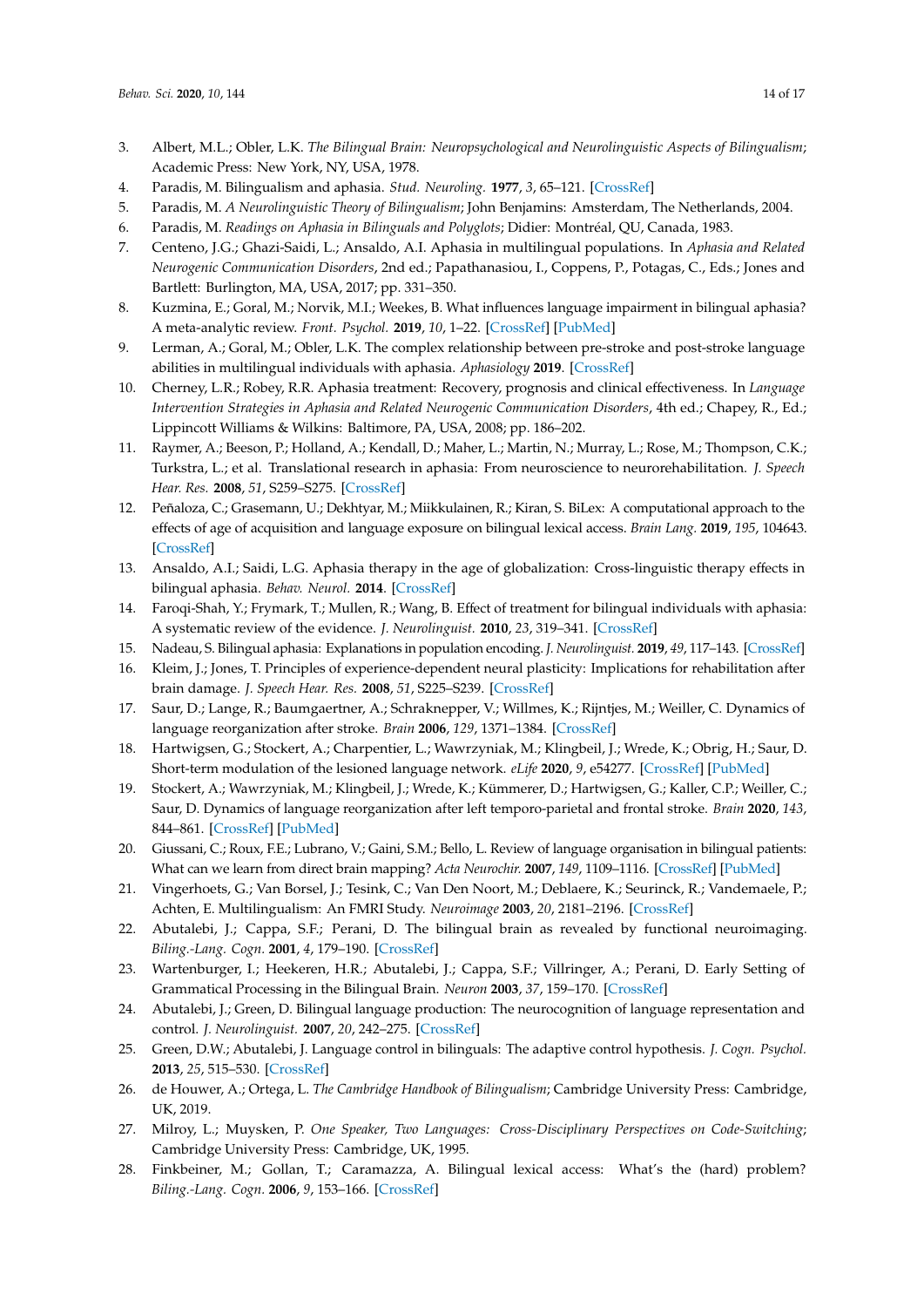- <span id="page-13-0"></span>3. Albert, M.L.; Obler, L.K. *The Bilingual Brain: Neuropsychological and Neurolinguistic Aspects of Bilingualism*; Academic Press: New York, NY, USA, 1978.
- 4. Paradis, M. Bilingualism and aphasia. *Stud. Neuroling.* **1977**, *3*, 65–121. [\[CrossRef\]](http://dx.doi.org/10.1016/B9780-12-746303-2.50008-7)
- <span id="page-13-1"></span>5. Paradis, M. *A Neurolinguistic Theory of Bilingualism*; John Benjamins: Amsterdam, The Netherlands, 2004.
- <span id="page-13-2"></span>6. Paradis, M. *Readings on Aphasia in Bilinguals and Polyglots*; Didier: Montréal, QU, Canada, 1983.
- <span id="page-13-3"></span>7. Centeno, J.G.; Ghazi-Saidi, L.; Ansaldo, A.I. Aphasia in multilingual populations. In *Aphasia and Related Neurogenic Communication Disorders*, 2nd ed.; Papathanasiou, I., Coppens, P., Potagas, C., Eds.; Jones and Bartlett: Burlington, MA, USA, 2017; pp. 331–350.
- <span id="page-13-22"></span>8. Kuzmina, E.; Goral, M.; Norvik, M.I.; Weekes, B. What influences language impairment in bilingual aphasia? A meta-analytic review. *Front. Psychol.* **2019**, *10*, 1–22. [\[CrossRef\]](http://dx.doi.org/10.3389/fpsyg.2019.00445) [\[PubMed\]](http://www.ncbi.nlm.nih.gov/pubmed/31024369)
- <span id="page-13-4"></span>9. Lerman, A.; Goral, M.; Obler, L.K. The complex relationship between pre-stroke and post-stroke language abilities in multilingual individuals with aphasia. *Aphasiology* **2019**. [\[CrossRef\]](http://dx.doi.org/10.1080/02687038.2019.1673303)
- <span id="page-13-5"></span>10. Cherney, L.R.; Robey, R.R. Aphasia treatment: Recovery, prognosis and clinical effectiveness. In *Language Intervention Strategies in Aphasia and Related Neurogenic Communication Disorders*, 4th ed.; Chapey, R., Ed.; Lippincott Williams & Wilkins: Baltimore, PA, USA, 2008; pp. 186–202.
- 11. Raymer, A.; Beeson, P.; Holland, A.; Kendall, D.; Maher, L.; Martin, N.; Murray, L.; Rose, M.; Thompson, C.K.; Turkstra, L.; et al. Translational research in aphasia: From neuroscience to neurorehabilitation. *J. Speech Hear. Res.* **2008**, *51*, S259–S275. [\[CrossRef\]](http://dx.doi.org/10.1044/1092-4388(2008/020))
- <span id="page-13-6"></span>12. Peñaloza, C.; Grasemann, U.; Dekhtyar, M.; Miikkulainen, R.; Kiran, S. BiLex: A computational approach to the effects of age of acquisition and language exposure on bilingual lexical access. *Brain Lang.* **2019**, *195*, 104643. [\[CrossRef\]](http://dx.doi.org/10.1016/j.bandl.2019.104643)
- <span id="page-13-7"></span>13. Ansaldo, A.I.; Saidi, L.G. Aphasia therapy in the age of globalization: Cross-linguistic therapy effects in bilingual aphasia. *Behav. Neurol.* **2014**. [\[CrossRef\]](http://dx.doi.org/10.1155/2014/603085)
- <span id="page-13-23"></span>14. Faroqi-Shah, Y.; Frymark, T.; Mullen, R.; Wang, B. Effect of treatment for bilingual individuals with aphasia: A systematic review of the evidence. *J. Neurolinguist.* **2010**, *23*, 319–341. [\[CrossRef\]](http://dx.doi.org/10.1016/j.jneuroling.2010.01.002)
- <span id="page-13-8"></span>15. Nadeau, S. Bilingual aphasia: Explanations in population encoding. *J. Neurolinguist.* **2019**, *49*, 117–143. [\[CrossRef\]](http://dx.doi.org/10.1016/j.jneuroling.2018.10.002)
- <span id="page-13-9"></span>16. Kleim, J.; Jones, T. Principles of experience-dependent neural plasticity: Implications for rehabilitation after brain damage. *J. Speech Hear. Res.* **2008**, *51*, S225–S239. [\[CrossRef\]](http://dx.doi.org/10.1044/1092-4388(2008/018))
- <span id="page-13-10"></span>17. Saur, D.; Lange, R.; Baumgaertner, A.; Schraknepper, V.; Willmes, K.; Rijntjes, M.; Weiller, C. Dynamics of language reorganization after stroke. *Brain* **2006**, *129*, 1371–1384. [\[CrossRef\]](http://dx.doi.org/10.1093/brain/awl090)
- <span id="page-13-11"></span>18. Hartwigsen, G.; Stockert, A.; Charpentier, L.; Wawrzyniak, M.; Klingbeil, J.; Wrede, K.; Obrig, H.; Saur, D. Short-term modulation of the lesioned language network. *eLife* **2020**, *9*, e54277. [\[CrossRef\]](http://dx.doi.org/10.7554/eLife.54277) [\[PubMed\]](http://www.ncbi.nlm.nih.gov/pubmed/32181741)
- <span id="page-13-12"></span>19. Stockert, A.; Wawrzyniak, M.; Klingbeil, J.; Wrede, K.; Kümmerer, D.; Hartwigsen, G.; Kaller, C.P.; Weiller, C.; Saur, D. Dynamics of language reorganization after left temporo-parietal and frontal stroke. *Brain* **2020**, *143*, 844–861. [\[CrossRef\]](http://dx.doi.org/10.1093/brain/awaa023) [\[PubMed\]](http://www.ncbi.nlm.nih.gov/pubmed/32068789)
- <span id="page-13-13"></span>20. Giussani, C.; Roux, F.E.; Lubrano, V.; Gaini, S.M.; Bello, L. Review of language organisation in bilingual patients: What can we learn from direct brain mapping? *Acta Neurochir.* **2007**, *149*, 1109–1116. [\[CrossRef\]](http://dx.doi.org/10.1007/s00701-007-1266-2) [\[PubMed\]](http://www.ncbi.nlm.nih.gov/pubmed/17712516)
- <span id="page-13-14"></span>21. Vingerhoets, G.; Van Borsel, J.; Tesink, C.; Van Den Noort, M.; Deblaere, K.; Seurinck, R.; Vandemaele, P.; Achten, E. Multilingualism: An FMRI Study. *Neuroimage* **2003**, *20*, 2181–2196. [\[CrossRef\]](http://dx.doi.org/10.1016/j.neuroimage.2003.07.029)
- <span id="page-13-15"></span>22. Abutalebi, J.; Cappa, S.F.; Perani, D. The bilingual brain as revealed by functional neuroimaging. *Biling.-Lang. Cogn.* **2001**, *4*, 179–190. [\[CrossRef\]](http://dx.doi.org/10.1017/S136672890100027X)
- <span id="page-13-16"></span>23. Wartenburger, I.; Heekeren, H.R.; Abutalebi, J.; Cappa, S.F.; Villringer, A.; Perani, D. Early Setting of Grammatical Processing in the Bilingual Brain. *Neuron* **2003**, *37*, 159–170. [\[CrossRef\]](http://dx.doi.org/10.1016/S0896-6273(02)01150-9)
- <span id="page-13-17"></span>24. Abutalebi, J.; Green, D. Bilingual language production: The neurocognition of language representation and control. *J. Neurolinguist.* **2007**, *20*, 242–275. [\[CrossRef\]](http://dx.doi.org/10.1016/j.jneuroling.2006.10.003)
- <span id="page-13-18"></span>25. Green, D.W.; Abutalebi, J. Language control in bilinguals: The adaptive control hypothesis. *J. Cogn. Psychol.* **2013**, *25*, 515–530. [\[CrossRef\]](http://dx.doi.org/10.1080/20445911.2013.796377)
- <span id="page-13-19"></span>26. de Houwer, A.; Ortega, L. *The Cambridge Handbook of Bilingualism*; Cambridge University Press: Cambridge, UK, 2019.
- <span id="page-13-20"></span>27. Milroy, L.; Muysken, P. *One Speaker, Two Languages: Cross-Disciplinary Perspectives on Code-Switching*; Cambridge University Press: Cambridge, UK, 1995.
- <span id="page-13-21"></span>28. Finkbeiner, M.; Gollan, T.; Caramazza, A. Bilingual lexical access: What's the (hard) problem? *Biling.-Lang. Cogn.* **2006**, *9*, 153–166. [\[CrossRef\]](http://dx.doi.org/10.1017/S1366728906002501)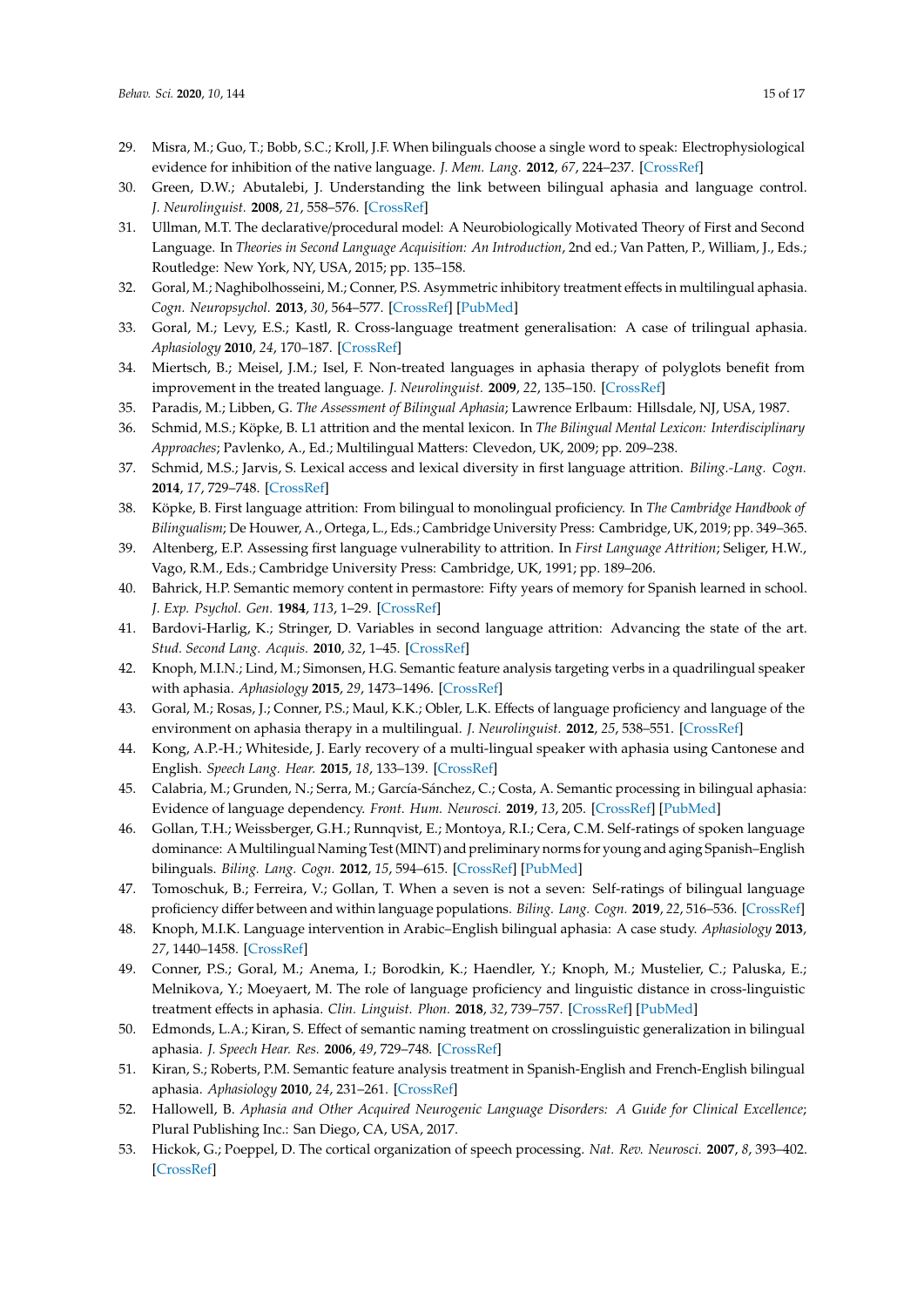- <span id="page-14-0"></span>29. Misra, M.; Guo, T.; Bobb, S.C.; Kroll, J.F. When bilinguals choose a single word to speak: Electrophysiological evidence for inhibition of the native language. *J. Mem. Lang.* **2012**, *67*, 224–237. [\[CrossRef\]](http://dx.doi.org/10.1016/j.jml.2012.05.001)
- <span id="page-14-1"></span>30. Green, D.W.; Abutalebi, J. Understanding the link between bilingual aphasia and language control. *J. Neurolinguist.* **2008**, *21*, 558–576. [\[CrossRef\]](http://dx.doi.org/10.1016/j.jneuroling.2008.01.002)
- <span id="page-14-2"></span>31. Ullman, M.T. The declarative/procedural model: A Neurobiologically Motivated Theory of First and Second Language. In *Theories in Second Language Acquisition: An Introduction*, 2nd ed.; Van Patten, P., William, J., Eds.; Routledge: New York, NY, USA, 2015; pp. 135–158.
- <span id="page-14-3"></span>32. Goral, M.; Naghibolhosseini, M.; Conner, P.S. Asymmetric inhibitory treatment effects in multilingual aphasia. *Cogn. Neuropsychol.* **2013**, *30*, 564–577. [\[CrossRef\]](http://dx.doi.org/10.1080/02643294.2013.878692) [\[PubMed\]](http://www.ncbi.nlm.nih.gov/pubmed/24499302)
- <span id="page-14-4"></span>33. Goral, M.; Levy, E.S.; Kastl, R. Cross-language treatment generalisation: A case of trilingual aphasia. *Aphasiology* **2010**, *24*, 170–187. [\[CrossRef\]](http://dx.doi.org/10.1080/02687030902958308)
- <span id="page-14-5"></span>34. Miertsch, B.; Meisel, J.M.; Isel, F. Non-treated languages in aphasia therapy of polyglots benefit from improvement in the treated language. *J. Neurolinguist.* **2009**, *22*, 135–150. [\[CrossRef\]](http://dx.doi.org/10.1016/j.jneuroling.2008.07.003)
- <span id="page-14-6"></span>35. Paradis, M.; Libben, G. *The Assessment of Bilingual Aphasia*; Lawrence Erlbaum: Hillsdale, NJ, USA, 1987.
- <span id="page-14-7"></span>36. Schmid, M.S.; Köpke, B. L1 attrition and the mental lexicon. In *The Bilingual Mental Lexicon: Interdisciplinary Approaches*; Pavlenko, A., Ed.; Multilingual Matters: Clevedon, UK, 2009; pp. 209–238.
- <span id="page-14-9"></span>37. Schmid, M.S.; Jarvis, S. Lexical access and lexical diversity in first language attrition. *Biling.-Lang. Cogn.* **2014**, *17*, 729–748. [\[CrossRef\]](http://dx.doi.org/10.1017/S1366728913000771)
- <span id="page-14-8"></span>38. Köpke, B. First language attrition: From bilingual to monolingual proficiency. In *The Cambridge Handbook of Bilingualism*; De Houwer, A., Ortega, L., Eds.; Cambridge University Press: Cambridge, UK, 2019; pp. 349–365.
- <span id="page-14-10"></span>39. Altenberg, E.P. Assessing first language vulnerability to attrition. In *First Language Attrition*; Seliger, H.W., Vago, R.M., Eds.; Cambridge University Press: Cambridge, UK, 1991; pp. 189–206.
- <span id="page-14-11"></span>40. Bahrick, H.P. Semantic memory content in permastore: Fifty years of memory for Spanish learned in school. *J. Exp. Psychol. Gen.* **1984**, *113*, 1–29. [\[CrossRef\]](http://dx.doi.org/10.1037/0096-3445.113.1.1)
- <span id="page-14-12"></span>41. Bardovi-Harlig, K.; Stringer, D. Variables in second language attrition: Advancing the state of the art. *Stud. Second Lang. Acquis.* **2010**, *32*, 1–45. [\[CrossRef\]](http://dx.doi.org/10.1017/S0272263109990246)
- <span id="page-14-13"></span>42. Knoph, M.I.N.; Lind, M.; Simonsen, H.G. Semantic feature analysis targeting verbs in a quadrilingual speaker with aphasia. *Aphasiology* **2015**, *29*, 1473–1496. [\[CrossRef\]](http://dx.doi.org/10.1080/02687038.2015.1049583)
- <span id="page-14-15"></span>43. Goral, M.; Rosas, J.; Conner, P.S.; Maul, K.K.; Obler, L.K. Effects of language proficiency and language of the environment on aphasia therapy in a multilingual. *J. Neurolinguist.* **2012**, *25*, 538–551. [\[CrossRef\]](http://dx.doi.org/10.1016/j.jneuroling.2011.06.001)
- <span id="page-14-14"></span>44. Kong, A.P.-H.; Whiteside, J. Early recovery of a multi-lingual speaker with aphasia using Cantonese and English. *Speech Lang. Hear.* **2015**, *18*, 133–139. [\[CrossRef\]](http://dx.doi.org/10.1179/2050572814Y.0000000059)
- <span id="page-14-16"></span>45. Calabria, M.; Grunden, N.; Serra, M.; García-Sánchez, C.; Costa, A. Semantic processing in bilingual aphasia: Evidence of language dependency. *Front. Hum. Neurosci.* **2019**, *13*, 205. [\[CrossRef\]](http://dx.doi.org/10.3389/fnhum.2019.00205) [\[PubMed\]](http://www.ncbi.nlm.nih.gov/pubmed/31258471)
- <span id="page-14-17"></span>46. Gollan, T.H.; Weissberger, G.H.; Runnqvist, E.; Montoya, R.I.; Cera, C.M. Self-ratings of spoken language dominance: AMultilingual Naming Test (MINT) and preliminary norms for young and aging Spanish–English bilinguals. *Biling. Lang. Cogn.* **2012**, *15*, 594–615. [\[CrossRef\]](http://dx.doi.org/10.1017/S1366728911000332) [\[PubMed\]](http://www.ncbi.nlm.nih.gov/pubmed/25364296)
- <span id="page-14-18"></span>47. Tomoschuk, B.; Ferreira, V.; Gollan, T. When a seven is not a seven: Self-ratings of bilingual language proficiency differ between and within language populations. *Biling. Lang. Cogn.* **2019**, *22*, 516–536. [\[CrossRef\]](http://dx.doi.org/10.1017/S1366728918000421)
- <span id="page-14-19"></span>48. Knoph, M.I.K. Language intervention in Arabic–English bilingual aphasia: A case study. *Aphasiology* **2013**, *27*, 1440–1458. [\[CrossRef\]](http://dx.doi.org/10.1080/02687038.2013.832139)
- <span id="page-14-20"></span>49. Conner, P.S.; Goral, M.; Anema, I.; Borodkin, K.; Haendler, Y.; Knoph, M.; Mustelier, C.; Paluska, E.; Melnikova, Y.; Moeyaert, M. The role of language proficiency and linguistic distance in cross-linguistic treatment effects in aphasia. *Clin. Linguist. Phon.* **2018**, *32*, 739–757. [\[CrossRef\]](http://dx.doi.org/10.1080/02699206.2018.1435723) [\[PubMed\]](http://www.ncbi.nlm.nih.gov/pubmed/29969313)
- <span id="page-14-23"></span>50. Edmonds, L.A.; Kiran, S. Effect of semantic naming treatment on crosslinguistic generalization in bilingual aphasia. *J. Speech Hear. Res.* **2006**, *49*, 729–748. [\[CrossRef\]](http://dx.doi.org/10.1044/1092-4388(2006/053))
- <span id="page-14-21"></span>51. Kiran, S.; Roberts, P.M. Semantic feature analysis treatment in Spanish-English and French-English bilingual aphasia. *Aphasiology* **2010**, *24*, 231–261. [\[CrossRef\]](http://dx.doi.org/10.1080/02687030902958365)
- <span id="page-14-22"></span>52. Hallowell, B. *Aphasia and Other Acquired Neurogenic Language Disorders: A Guide for Clinical Excellence*; Plural Publishing Inc.: San Diego, CA, USA, 2017.
- <span id="page-14-24"></span>53. Hickok, G.; Poeppel, D. The cortical organization of speech processing. *Nat. Rev. Neurosci.* **2007**, *8*, 393–402. [\[CrossRef\]](http://dx.doi.org/10.1038/nrn2113)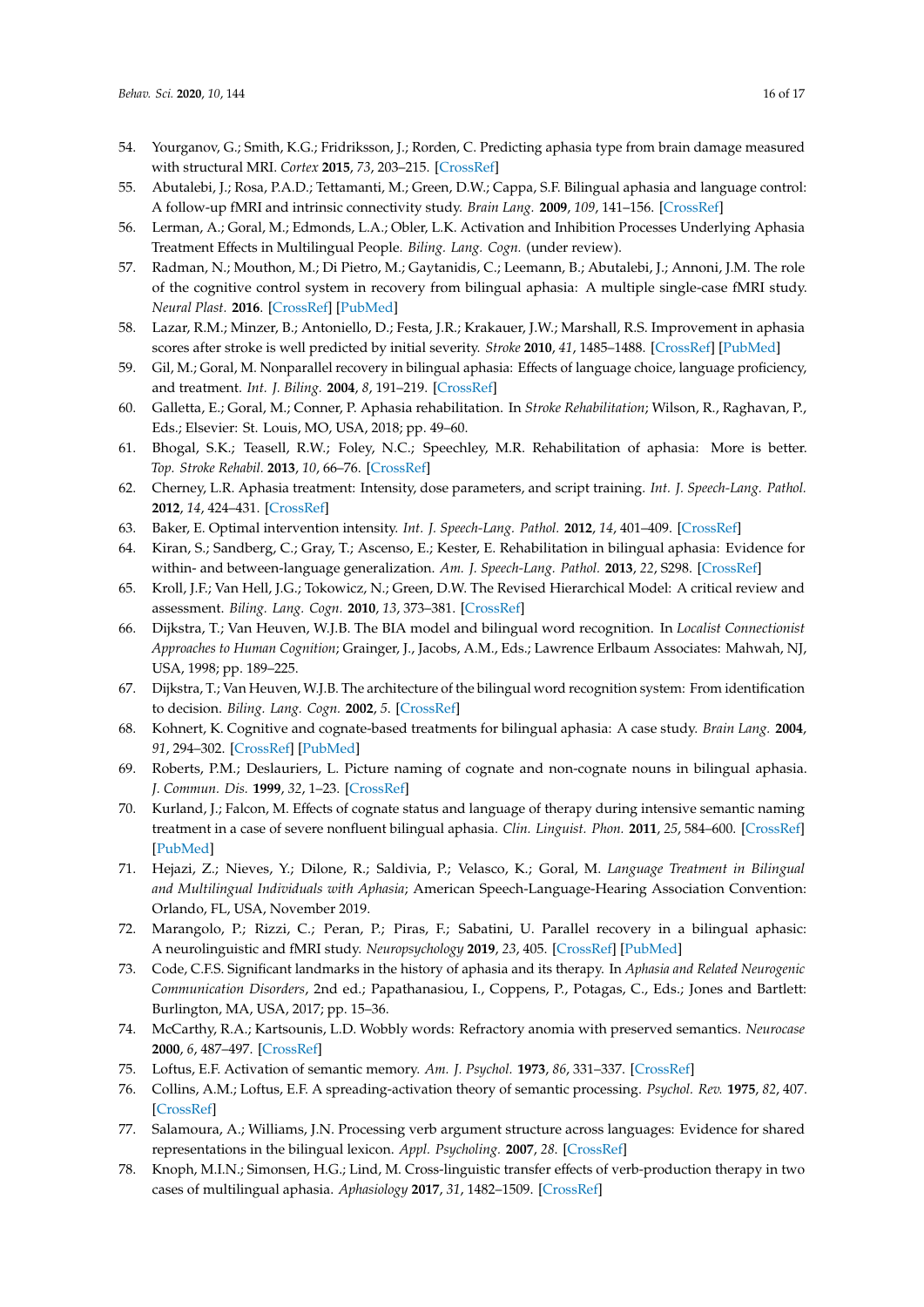- <span id="page-15-0"></span>54. Yourganov, G.; Smith, K.G.; Fridriksson, J.; Rorden, C. Predicting aphasia type from brain damage measured with structural MRI. *Cortex* **2015**, *73*, 203–215. [\[CrossRef\]](http://dx.doi.org/10.1016/j.cortex.2015.09.005)
- <span id="page-15-1"></span>55. Abutalebi, J.; Rosa, P.A.D.; Tettamanti, M.; Green, D.W.; Cappa, S.F. Bilingual aphasia and language control: A follow-up fMRI and intrinsic connectivity study. *Brain Lang.* **2009**, *109*, 141–156. [\[CrossRef\]](http://dx.doi.org/10.1016/j.bandl.2009.03.003)
- <span id="page-15-21"></span>56. Lerman, A.; Goral, M.; Edmonds, L.A.; Obler, L.K. Activation and Inhibition Processes Underlying Aphasia Treatment Effects in Multilingual People. *Biling. Lang. Cogn.* (under review).
- <span id="page-15-2"></span>57. Radman, N.; Mouthon, M.; Di Pietro, M.; Gaytanidis, C.; Leemann, B.; Abutalebi, J.; Annoni, J.M. The role of the cognitive control system in recovery from bilingual aphasia: A multiple single-case fMRI study. *Neural Plast.* **2016**. [\[CrossRef\]](http://dx.doi.org/10.1155/2016/8797086) [\[PubMed\]](http://www.ncbi.nlm.nih.gov/pubmed/27965899)
- <span id="page-15-3"></span>58. Lazar, R.M.; Minzer, B.; Antoniello, D.; Festa, J.R.; Krakauer, J.W.; Marshall, R.S. Improvement in aphasia scores after stroke is well predicted by initial severity. *Stroke* **2010**, *41*, 1485–1488. [\[CrossRef\]](http://dx.doi.org/10.1161/STROKEAHA.109.577338) [\[PubMed\]](http://www.ncbi.nlm.nih.gov/pubmed/20538700)
- <span id="page-15-4"></span>59. Gil, M.; Goral, M. Nonparallel recovery in bilingual aphasia: Effects of language choice, language proficiency, and treatment. *Int. J. Biling.* **2004**, *8*, 191–219. [\[CrossRef\]](http://dx.doi.org/10.1177/13670069040080020501)
- <span id="page-15-5"></span>60. Galletta, E.; Goral, M.; Conner, P. Aphasia rehabilitation. In *Stroke Rehabilitation*; Wilson, R., Raghavan, P., Eds.; Elsevier: St. Louis, MO, USA, 2018; pp. 49–60.
- <span id="page-15-6"></span>61. Bhogal, S.K.; Teasell, R.W.; Foley, N.C.; Speechley, M.R. Rehabilitation of aphasia: More is better. *Top. Stroke Rehabil.* **2013**, *10*, 66–76. [\[CrossRef\]](http://dx.doi.org/10.1310/RCM8-5TUL-NC5D-BX58)
- 62. Cherney, L.R. Aphasia treatment: Intensity, dose parameters, and script training. *Int. J. Speech-Lang. Pathol.* **2012**, *14*, 424–431. [\[CrossRef\]](http://dx.doi.org/10.3109/17549507.2012.686629)
- <span id="page-15-7"></span>63. Baker, E. Optimal intervention intensity. *Int. J. Speech-Lang. Pathol.* **2012**, *14*, 401–409. [\[CrossRef\]](http://dx.doi.org/10.3109/17549507.2012.700323)
- <span id="page-15-8"></span>64. Kiran, S.; Sandberg, C.; Gray, T.; Ascenso, E.; Kester, E. Rehabilitation in bilingual aphasia: Evidence for within- and between-language generalization. *Am. J. Speech-Lang. Pathol.* **2013**, *22*, S298. [\[CrossRef\]](http://dx.doi.org/10.1044/1058-0360(2013/12-0085))
- <span id="page-15-9"></span>65. Kroll, J.F.; Van Hell, J.G.; Tokowicz, N.; Green, D.W. The Revised Hierarchical Model: A critical review and assessment. *Biling. Lang. Cogn.* **2010**, *13*, 373–381. [\[CrossRef\]](http://dx.doi.org/10.1017/S136672891000009X)
- <span id="page-15-10"></span>66. Dijkstra, T.; Van Heuven, W.J.B. The BIA model and bilingual word recognition. In *Localist Connectionist Approaches to Human Cognition*; Grainger, J., Jacobs, A.M., Eds.; Lawrence Erlbaum Associates: Mahwah, NJ, USA, 1998; pp. 189–225.
- <span id="page-15-11"></span>67. Dijkstra, T.; Van Heuven, W.J.B. The architecture of the bilingual word recognition system: From identification to decision. *Biling. Lang. Cogn.* **2002**, *5*. [\[CrossRef\]](http://dx.doi.org/10.1017/S1366728902003012)
- <span id="page-15-12"></span>68. Kohnert, K. Cognitive and cognate-based treatments for bilingual aphasia: A case study. *Brain Lang.* **2004**, *91*, 294–302. [\[CrossRef\]](http://dx.doi.org/10.1016/j.bandl.2004.04.001) [\[PubMed\]](http://www.ncbi.nlm.nih.gov/pubmed/15533555)
- 69. Roberts, P.M.; Deslauriers, L. Picture naming of cognate and non-cognate nouns in bilingual aphasia. *J. Commun. Dis.* **1999**, *32*, 1–23. [\[CrossRef\]](http://dx.doi.org/10.1016/S0021-9924(98)00026-4)
- <span id="page-15-13"></span>70. Kurland, J.; Falcon, M. Effects of cognate status and language of therapy during intensive semantic naming treatment in a case of severe nonfluent bilingual aphasia. *Clin. Linguist. Phon.* **2011**, *25*, 584–600. [\[CrossRef\]](http://dx.doi.org/10.3109/02699206.2011.565398) [\[PubMed\]](http://www.ncbi.nlm.nih.gov/pubmed/21631308)
- <span id="page-15-14"></span>71. Hejazi, Z.; Nieves, Y.; Dilone, R.; Saldivia, P.; Velasco, K.; Goral, M. *Language Treatment in Bilingual and Multilingual Individuals with Aphasia*; American Speech-Language-Hearing Association Convention: Orlando, FL, USA, November 2019.
- <span id="page-15-15"></span>72. Marangolo, P.; Rizzi, C.; Peran, P.; Piras, F.; Sabatini, U. Parallel recovery in a bilingual aphasic: A neurolinguistic and fMRI study. *Neuropsychology* **2019**, *23*, 405. [\[CrossRef\]](http://dx.doi.org/10.1037/a0014824) [\[PubMed\]](http://www.ncbi.nlm.nih.gov/pubmed/19413453)
- <span id="page-15-16"></span>73. Code, C.F.S. Significant landmarks in the history of aphasia and its therapy. In *Aphasia and Related Neurogenic Communication Disorders*, 2nd ed.; Papathanasiou, I., Coppens, P., Potagas, C., Eds.; Jones and Bartlett: Burlington, MA, USA, 2017; pp. 15–36.
- <span id="page-15-17"></span>74. McCarthy, R.A.; Kartsounis, L.D. Wobbly words: Refractory anomia with preserved semantics. *Neurocase* **2000**, *6*, 487–497. [\[CrossRef\]](http://dx.doi.org/10.1080/13554790008402719)
- <span id="page-15-18"></span>75. Loftus, E.F. Activation of semantic memory. *Am. J. Psychol.* **1973**, *86*, 331–337. [\[CrossRef\]](http://dx.doi.org/10.2307/1421441)
- <span id="page-15-19"></span>76. Collins, A.M.; Loftus, E.F. A spreading-activation theory of semantic processing. *Psychol. Rev.* **1975**, *82*, 407. [\[CrossRef\]](http://dx.doi.org/10.1037/0033-295X.82.6.407)
- <span id="page-15-20"></span>77. Salamoura, A.; Williams, J.N. Processing verb argument structure across languages: Evidence for shared representations in the bilingual lexicon. *Appl. Psycholing.* **2007**, *28*. [\[CrossRef\]](http://dx.doi.org/10.1017/S0142716407070348)
- <span id="page-15-22"></span>78. Knoph, M.I.N.; Simonsen, H.G.; Lind, M. Cross-linguistic transfer effects of verb-production therapy in two cases of multilingual aphasia. *Aphasiology* **2017**, *31*, 1482–1509. [\[CrossRef\]](http://dx.doi.org/10.1080/02687038.2017.1358447)